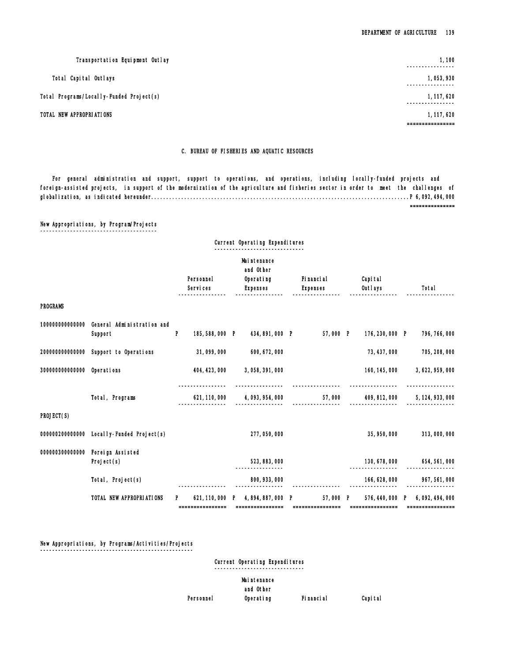### C. BUREAU OF FISHERIES AND AQUATIC RESOURCES

 For general administration and support, support to operations, and operations, including locally-funded projects and foreign-assisted projects, in support of the modernization of the agriculture and fisheries sector in order to meet the challenges of globalization, as indicated hereunder......................................................................................P 6,092,494,000

===============

## New Appropriations, by Program/Projects

¯¯¯¯¯¯¯¯¯¯¯¯¯¯¯¯¯¯¯¯¯¯¯¯¯¯¯¯¯¯¯¯¯¯¯¯¯¯¯

|                 |                                                       |    |                                     | Current Operating Expenditures         |                              |                             |                                                      |
|-----------------|-------------------------------------------------------|----|-------------------------------------|----------------------------------------|------------------------------|-----------------------------|------------------------------------------------------|
|                 |                                                       |    | Personnel                           | Mai ntenance<br>and Other<br>Operating | Fi nanci al                  | Capi tal                    |                                                      |
|                 |                                                       |    | Services                            | <b>Expenses</b>                        | <b>Expenses</b>              | Outlays                     | Total                                                |
| <b>PROGRAMS</b> |                                                       |    |                                     |                                        |                              |                             |                                                      |
|                 | 100000000000000 General Administration and<br>Support | P  | 185,588,000 P                       | 434,891,000 P                          | 57,000 P                     | 176, 230, 000 P             | 796, 766, 000                                        |
|                 | 200000000000000 Support to Operations                 |    | 31,099,000                          | 600, 672, 000                          |                              | 73, 437, 000                | 705, 208, 000                                        |
| 300000000000000 | Operations                                            |    | 404, 423, 000                       | 3,058,391,000                          |                              | 160, 145, 000               | 3, 622, 959, 000                                     |
|                 | Total, Programs                                       |    | 621, 110, 000                       | 4, 093, 954, 000                       | 57,000                       | 409, 812, 000               | 5, 124, 933, 000                                     |
| PROJECT(S)      |                                                       |    |                                     |                                        |                              |                             |                                                      |
|                 | 000000200000000 Local I y-Funded Project(s)           |    |                                     | 277,050,000                            |                              | 35, 950, 000                | 313,000,000                                          |
|                 | 000000300000000 Foreign Assisted<br>Project(s)        |    |                                     | 523, 883, 000                          |                              | 130, 678, 000<br>---------- | 654, 561, 000                                        |
|                 | Total, Project(s)                                     |    |                                     | 800, 933, 000                          |                              | 166, 628, 000               | 967, 561, 000                                        |
|                 | TOTAL NEW APPROPRIATIONS                              | P. | 621, 110, 000 P<br>================ | 4,894,887,000 P                        | 57,000 P<br>================ | ================            | 576, 440, 000 P 6, 092, 494, 000<br>================ |

#### New Appropriations, by Programs/Activities/Projects ¯¯¯¯¯¯¯¯¯¯¯¯¯¯¯¯¯¯¯¯¯¯¯¯¯¯¯¯¯¯¯¯¯¯¯¯¯¯¯¯¯¯¯¯¯¯¯¯¯¯¯

Current Operating Expenditures

¯¯¯¯¯¯¯¯¯¯¯¯¯¯¯¯¯¯¯¯¯¯¯¯¯¯¯¯¯¯

## Maintenance and Other Personnel Operating Financial Capital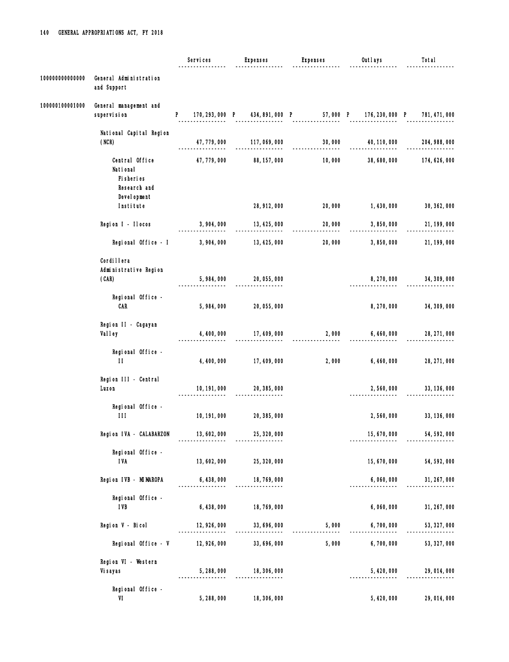|                 |                                                                           | Services     | <b>Expenses</b>                | <b>Expenses</b>                                                         | Outlays         | Total         |
|-----------------|---------------------------------------------------------------------------|--------------|--------------------------------|-------------------------------------------------------------------------|-----------------|---------------|
| 100000000000000 | General Administration<br>and Support                                     |              |                                |                                                                         |                 |               |
| 100000100001000 | General management and<br>supervision                                     | P            |                                | 170, 293, 000 P 434, 891, 000 P 57, 000 P 176, 230, 000 P 781, 471, 000 |                 |               |
|                 | National Capital Region<br>(NCR)                                          | 47, 779, 000 | 117,069,000                    | 30,000                                                                  | 40, 110, 000    | 204, 988, 000 |
|                 | Central Office<br>National<br>Fi sheri es<br>Research and<br>Devel opment | 47, 779, 000 | 88, 157, 000                   | 10,000                                                                  | 38,680,000      | 174, 626, 000 |
|                 | Institute                                                                 |              | 28, 912, 000                   | 20,000                                                                  | 1,430,000       | 30, 362, 000  |
|                 | Region I - Ilocos                                                         | 3,904,000    | 13, 425, 000                   | 20,000                                                                  | 3,850,000       | 21, 199, 000  |
|                 | Regional Office - I                                                       | 3,904,000    | 13, 425, 000                   | 20,000                                                                  | 3,850,000       | 21, 199, 000  |
|                 | Cordi I lera<br>Administrative Region<br>(CAR)                            | 5,984,000    | 20, 055, 000                   |                                                                         | 8, 270, 000     | 34, 309, 000  |
|                 | Regional Office -<br><b>CAR</b>                                           | 5,984,000    | 20, 055, 000                   |                                                                         | 8,270,000       | 34, 309, 000  |
|                 | Region II - Cagayan<br>Valley                                             | 4, 400, 000  | 17, 409, 000<br>-------------- |                                                                         | 2,000 6,460,000 | 28, 271, 000  |
|                 | Regional Office -<br>$\mathbf{H}$                                         | 4, 400, 000  | 17, 409, 000                   | 2,000                                                                   | 6, 460, 000     | 28, 271, 000  |
|                 | Region III - Central<br>Luzon                                             | 10, 191, 000 | 20, 385, 000                   |                                                                         | 2,560,000       | 33, 136, 000  |
|                 | Regional Office -<br>111                                                  | 10, 191, 000 | 20, 385, 000                   |                                                                         | 2,560,000       | 33, 136, 000  |
|                 | Region IVA - CALABARZON                                                   | 13,602,000   | 25, 320, 000                   |                                                                         | 15, 670, 000    | 54, 592, 000  |
|                 | Regional Office -<br><b>IVA</b>                                           | 13, 602, 000 | 25, 320, 000                   |                                                                         | 15, 670, 000    | 54, 592, 000  |
|                 | Region IVB - MIMAROPA                                                     | 6, 438, 000  | 18, 769, 000                   |                                                                         | 6,060,000       | 31, 267, 000  |
|                 | Regional Office -<br><b>IVB</b>                                           | 6, 438, 000  | --------<br>18, 769, 000       |                                                                         | 6,060,000       | 31, 267, 000  |
|                 | Region V - Bicol                                                          | 12, 926, 000 | 33, 696, 000                   | 5,000                                                                   | 6,700,000       | 53, 327, 000  |
|                 | Regional Office - V                                                       | 12, 926, 000 | 33, 696, 000                   | 5,000                                                                   | 6,700,000       | 53, 327, 000  |
|                 | Region VI - Western<br>Vi sayas                                           | 5,288,000    | 18, 306, 000                   |                                                                         | 5,420,000       | 29, 014, 000  |
|                 | Regional Office -<br>VI                                                   | 5,288,000    | 18, 306, 000                   |                                                                         | 5, 420, 000     | 29, 014, 000  |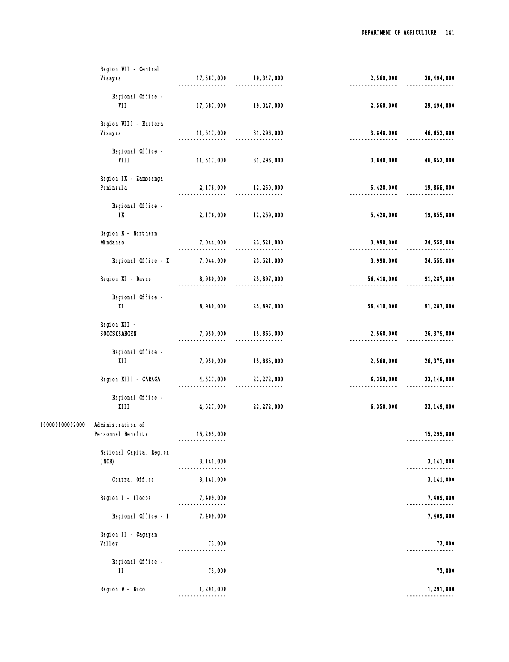|                 | Region VII - Central                         |                                 |                            |                                |              |
|-----------------|----------------------------------------------|---------------------------------|----------------------------|--------------------------------|--------------|
|                 | Vi sayas                                     | 17,587,000                      | 19, 347, 000               | 2,560,000                      | 39, 494, 000 |
|                 | Regional Office -<br>VII                     | 17,587,000                      | 19, 347, 000               | 2,560,000                      | 39, 494, 000 |
|                 | Region VIII - Eastern<br>Vi sayas            | 11, 517, 000                    | 31, 296, 000               | 3,840,000                      | 46, 653, 000 |
|                 | Regional Office -<br>VIII                    | 11,517,000                      | 31, 296, 000               | 3,840,000                      | 46, 653, 000 |
|                 | Region IX - Zamboanga<br>Peni nsul a         | 2, 176, 000                     | 12, 259, 000<br>--------   | 5, 420, 000<br>--------------- | 19,855,000   |
|                 | Regional Office -<br>$\mathsf{I} \mathsf{X}$ | 2, 176, 000                     | 12, 259, 000               | 5, 420, 000                    | 19, 855, 000 |
|                 | Region X - Northern<br>Mi ndanao             | 7,044,000                       | 23, 521, 000<br>.          | 3,990,000                      | 34, 555, 000 |
|                 | Regional Office - X                          | 7,044,000                       | 23, 521, 000               | 3,990,000                      | 34, 555, 000 |
|                 | Region XI - Davao                            | 8,980,000                       | 25, 897, 000<br>---------- | 56, 410, 000                   | 91, 287, 000 |
|                 | Regional Office -<br>XI                      | 8,980,000                       | 25, 897, 000               | 56, 410, 000                   | 91, 287, 000 |
|                 | Region XII -<br>SOCCSKSARGEN                 | 7,950,000                       | 15, 865, 000               | 2,560,000                      | 26, 375, 000 |
|                 | Regional Office -<br>X11                     | 7,950,000                       | 15, 865, 000               | 2,560,000                      | 26, 375, 000 |
|                 | Region XIII - CARAGA                         | 4,527,000                       | 22, 272, 000               | 6,350,000                      | 33, 149, 000 |
|                 | Regional Office -<br>XIII                    | 4,527,000                       | 22, 272, 000               | 6,350,000                      | 33, 149, 000 |
| 100000100002000 | Administration of<br>Personnel Benefits      | 15, 295, 000                    |                            |                                | 15, 295, 000 |
|                 | National Capital Region                      |                                 |                            |                                |              |
|                 | (NCR)                                        | 3, 141, 000<br>---------------- |                            |                                | 3, 141, 000  |
|                 | Central Office                               | 3, 141, 000                     |                            |                                | 3, 141, 000  |
|                 | Region I - Ilocos                            | 7,409,000                       |                            |                                | 7,409,000    |
|                 | Regional Office - I                          | 7, 409, 000                     |                            |                                | 7,409,000    |
|                 | Region II - Cagayan<br>Val I ey              | 73,000                          |                            |                                | 73,000       |
|                 | Regional Office -<br>$\mathbf{H}$            | 73,000                          |                            |                                | 73,000       |
|                 | Region V - Bicol                             | 1,291,000<br>------------       |                            |                                | 1, 291, 000  |
|                 |                                              |                                 |                            |                                |              |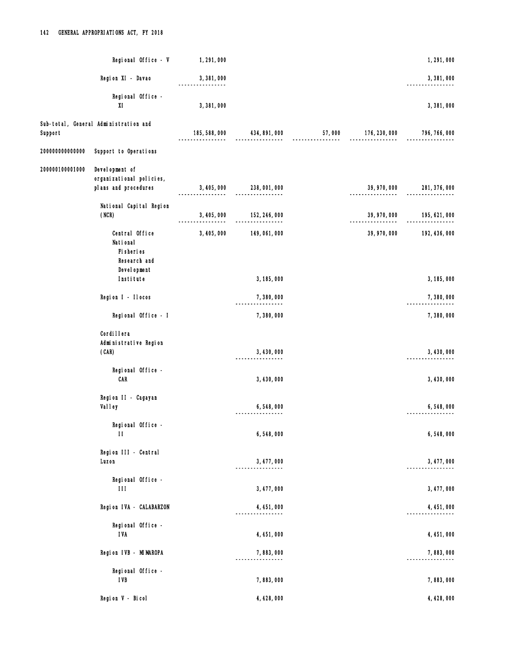|                 | Regional Office - V                                                | 1, 291, 000   |                                                |                    | 1,291,000                  |
|-----------------|--------------------------------------------------------------------|---------------|------------------------------------------------|--------------------|----------------------------|
|                 | Region XI - Davao                                                  | 3,381,000     |                                                |                    | 3,381,000                  |
|                 | Regional Office -<br>XI                                            | 3,381,000     |                                                |                    | 3,381,000                  |
| Support         | Sub-total, General Administration and                              | 185, 588, 000 | 434, 891, 000                                  | 57,000 176,230,000 | 796, 766, 000              |
| 20000000000000  | Support to Operations                                              |               |                                                |                    |                            |
| 200000100001000 | Development of<br>organizational policies,<br>plans and procedures |               | 3, 405, 000 238, 001, 000                      |                    |                            |
|                 | National Capital Region<br>(NCR)                                   |               | 3, 405, 000 152, 246, 000<br>----------------- |                    | 39, 970, 000 195, 621, 000 |
|                 | Central Office<br>National<br>Fi sheri es<br>Research and          | 3, 405, 000   | 149, 061, 000                                  | 39, 970, 000       | 192, 436, 000              |
|                 | Devel opment<br>Institute                                          |               | 3, 185, 000                                    |                    | 3, 185, 000                |
|                 | Region I - Ilocos                                                  |               | 7,380,000<br>----------------                  |                    | 7,380,000                  |
|                 | Regional Office - I                                                |               | 7,380,000                                      |                    | 7,380,000                  |
|                 | Cordi I I era<br>Administrative Region<br>(CAR)                    |               | 3, 430, 000                                    |                    | 3, 430, 000                |
|                 | Regional Office -<br><b>CAR</b>                                    |               | 3, 430, 000                                    |                    | 3, 430, 000                |
|                 | Region II - Cagayan<br>Val I ey                                    |               | 6,548,000                                      |                    | 6,548,000                  |
|                 | Regional Office -<br>$\mathbf{H}$                                  |               | 6,548,000                                      |                    | 6,548,000                  |
|                 | Region III - Central<br>Luzon                                      |               | 3, 477, 000                                    |                    | 3, 477, 000                |
|                 | Regional Office -<br>$\mathbf{H}$                                  |               | 3, 477, 000                                    |                    | 3, 477, 000                |
|                 | Region IVA - CALABARZON                                            |               | 4, 451, 000                                    |                    | 4, 451, 000                |
|                 | Regional Office -<br><b>IVA</b>                                    |               | 4, 451, 000                                    |                    | 4, 451, 000                |
|                 | Region IVB - MIMAROPA                                              |               | 7,883,000                                      |                    | 7,883,000                  |
|                 | Regional Office -<br><b>IVB</b>                                    |               | 7,883,000                                      |                    | 7,883,000                  |
|                 | Region V - Bicol                                                   |               | 4, 428, 000                                    |                    | 4, 428, 000                |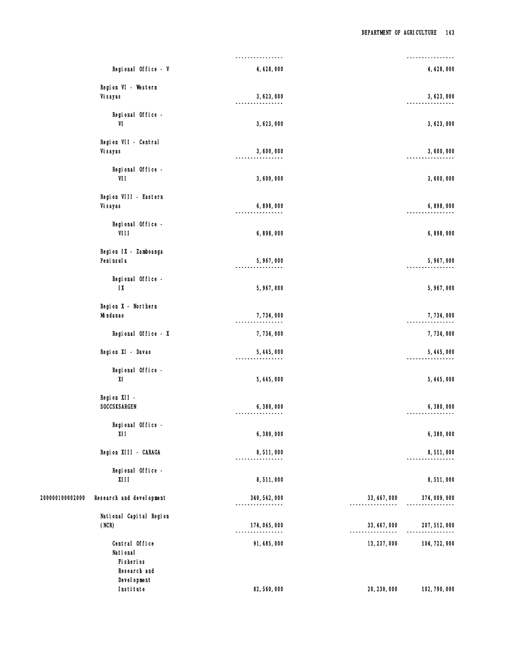|                 |                                              | ----------------           |              | ---------------- |
|-----------------|----------------------------------------------|----------------------------|--------------|------------------|
|                 | Regional Office - V                          | 4, 428, 000                |              | 4, 428, 000      |
|                 | Region VI - Western<br>Vi sayas              | 3,623,000                  |              | 3,623,000        |
|                 | Regional Office -<br>VI                      | 3,623,000                  |              | 3,623,000        |
|                 | Region VII - Central<br>Vi sayas             | 3,600,000                  |              | 3,600,000        |
|                 | Regional Office -<br>VII                     | 3,600,000                  |              | 3,600,000        |
|                 | Region VIII - Eastern<br>Vi sayas            | 6,898,000                  |              | 6,898,000        |
|                 | Regional Office -<br>VIII                    | 6,898,000                  |              | 6,898,000        |
|                 | Region IX - Zamboanga<br>Peni nsul a         | 5,967,000<br>$- - - - - -$ |              | 5, 967, 000      |
|                 | Regional Office -<br>$\mathsf{I} \mathsf{X}$ | 5, 967, 000                |              | 5, 967, 000      |
|                 | Region X - Northern<br>Mi ndanao             | 7,734,000                  |              | 7,734,000        |
|                 | Regional Office - X                          | 7,734,000                  |              | 7,734,000        |
|                 | Region XI - Davao                            | 5,445,000                  |              | 5, 445, 000      |
|                 | Regional Office -<br>XI                      | 5, 445, 000                |              | 5, 445, 000      |
|                 | Region XII -<br>SOCCSKSARGEN                 | 6,380,000                  |              | 6,380,000        |
|                 | Regional Office -<br>XII                     | 6,380,000                  |              | 6,380,000        |
|                 | Region XIII - CARAGA                         | 8,511,000                  |              | 8,511,000        |
|                 | Regional Office -<br>X111                    | 8,511,000                  |              | 8,511,000        |
| 200000100002000 | Research and devel opment                    | 340, 542, 000              | 33, 467, 000 | 374,009,000      |
|                 | National Capital Region<br>(NCR)             | 174, 045, 000              | 33, 467, 000 | 207, 512, 000    |
|                 | Central Office<br>National<br>Fi sheri es    | 91, 485, 000               | 13, 237, 000 | 104, 722, 000    |
|                 | Research and<br>Devel opment<br>Institute    | 82, 560, 000               | 20, 230, 000 | 102, 790, 000    |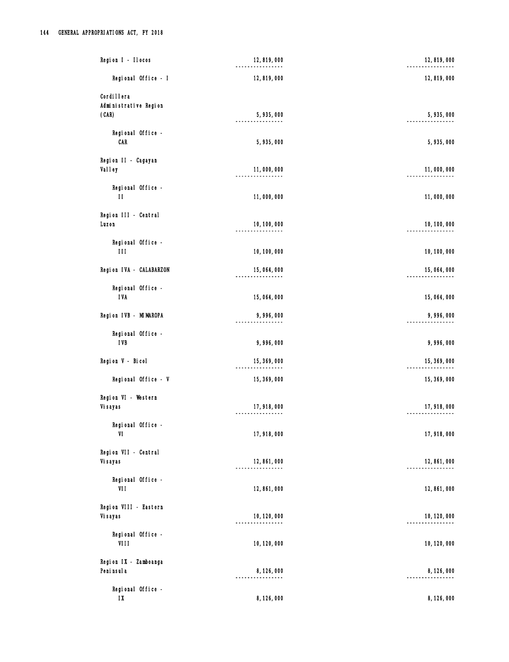|                  | Region I - Ilocos       | 12,819,000<br>-------      | 12,819,000   |
|------------------|-------------------------|----------------------------|--------------|
|                  | Regional Office - I     | 12,819,000                 | 12,819,000   |
| Cordi I I era    |                         |                            |              |
|                  | Administrative Region   |                            |              |
| (CAR)            |                         | 5,935,000                  | 5,935,000    |
|                  | Regional Office -       |                            |              |
| CAR              |                         | 5,935,000                  | 5, 935, 000  |
|                  | Region II - Cagayan     |                            |              |
| <b>Valley</b>    |                         | 11,000,000                 | 11,000,000   |
|                  | Regional Office -       |                            |              |
| $\mathbf{H}$     |                         | 11,000,000                 | 11,000,000   |
|                  |                         |                            |              |
| Luzon            | Region III - Central    | 10, 100, 000               | 10, 100, 000 |
|                  |                         | --------                   |              |
|                  | Regional Office -       |                            |              |
| 111              |                         | 10, 100, 000               | 10, 100, 000 |
|                  | Region IVA - CALABARZON | 15,064,000                 | 15,064,000   |
|                  | Regional Office -       |                            |              |
| <b>IVA</b>       |                         | 15,064,000                 | 15,064,000   |
|                  |                         |                            |              |
|                  | Region IVB - MIMAROPA   | 9,996,000<br>.             | 9,996,000    |
|                  | Regional Office -       |                            |              |
| <b>IVB</b>       |                         | 9,996,000                  | 9,996,000    |
| Region V - Bicol |                         | 15, 369, 000               | 15, 369, 000 |
|                  |                         |                            |              |
|                  | Regional Office - V     | 15, 369, 000               | 15, 369, 000 |
|                  | Region VI - Western     |                            |              |
| Vi sayas         |                         | 17,918,000<br>------------ | 17, 918, 000 |
|                  | Regional Office -       |                            |              |
| VI               |                         | 17,918,000                 | 17,918,000   |
|                  |                         |                            |              |
| Vi sayas         | Region VII - Central    | 12, 861, 000               | 12, 861, 000 |
|                  |                         | -------                    |              |
| VII              | Regional Office -       | 12, 861, 000               | 12,861,000   |
|                  |                         |                            |              |
|                  | Region VIII - Eastern   |                            |              |
| Vi sayas         |                         | 10, 120, 000<br>-------    | 10, 120, 000 |
|                  | Regional Office -       |                            |              |
| VIII             |                         | 10, 120, 000               | 10, 120, 000 |
|                  | Region IX - Zamboanga   |                            |              |
| Peni nsul a      |                         | 8, 126, 000                | 8,126,000    |
|                  |                         | -------                    |              |
| $1\mathrm{X}$    | Regional Office -       | 8, 126, 000                | 8, 126, 000  |
|                  |                         |                            |              |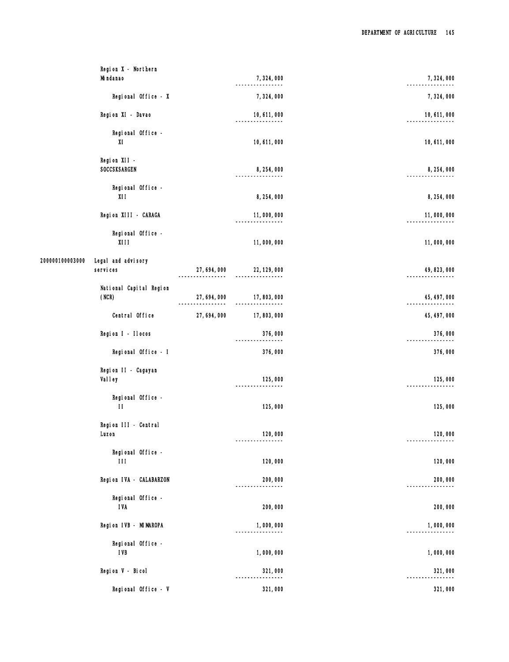| Region X - Northern<br>Mi ndanao                  |              | 7,324,000                   | 7,324,000    |
|---------------------------------------------------|--------------|-----------------------------|--------------|
| Regional Office - X                               |              | 7,324,000                   | 7,324,000    |
| Region XI - Davao                                 |              | 10, 611, 000<br>.           | 10, 611, 000 |
| Regional Office -<br>XI                           |              | 10, 611, 000                | 10, 611, 000 |
| Region XII -<br>SOCCSKSARGEN                      |              | 8,254,000                   | 8, 254, 000  |
| Regional Office -<br>X11                          |              | 8, 254, 000                 | 8, 254, 000  |
| Region XIII - CARAGA                              |              | 11,000,000                  | 11,000,000   |
| Regional Office -<br>X111                         |              | 11,000,000                  | 11,000,000   |
| 200000100003000<br>Legal and advisory<br>services | 27, 694, 000 | 22, 129, 000<br>-------     | 49, 823, 000 |
| National Capital Region<br>(NCR)                  | 27, 694, 000 | 17,803,000                  | 45, 497, 000 |
| Central Office                                    | 27, 694, 000 | 17,803,000                  | 45, 497, 000 |
| Region I - Ilocos                                 |              | 376,000                     | 376,000      |
| Regional Office - I                               |              | 376,000                     | 376,000      |
| Region II - Cagayan<br>Val I ey                   |              | 125,000<br>---------------- | 125,000      |
| Regional Office -<br>$\mathbf{H}$                 |              | 125,000                     | 125,000      |
| Region III - Central<br>Luzon                     |              | 120,000                     | 120,000      |
| Regional Office -<br>$\mathbf{H}$                 |              | 120,000                     | 120,000      |
| Region IVA - CALABARZON                           |              | 200,000<br>-------------    | 200,000      |
| Regional Office -<br><b>IVA</b>                   |              | 200,000                     | 200,000      |
| Region IVB - MIMAROPA                             |              | 1,000,000<br>. <u>.</u>     | 1,000,000    |
| Regional Office -<br><b>IVB</b>                   |              | 1,000,000                   | 1,000,000    |
| Region V - Bicol                                  |              | 321,000                     | 321,000      |
| Regional Office - V                               |              | 321,000                     | 321,000      |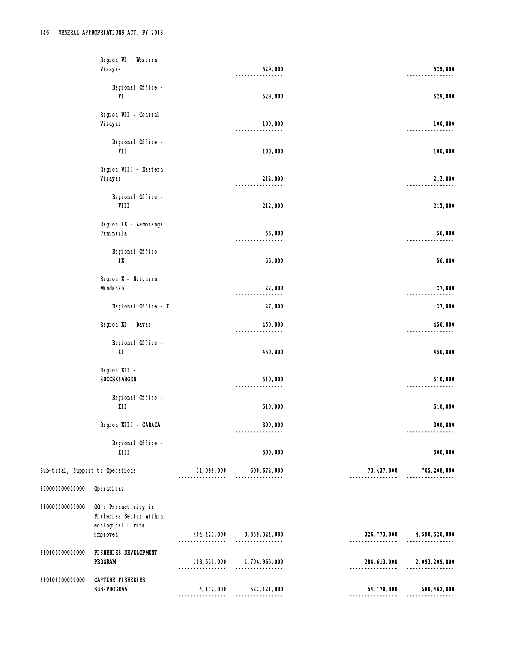|                                  | Region VI - Western<br>Vi sayas                                      |                                 | 529,000                           |               | 529,000                        |
|----------------------------------|----------------------------------------------------------------------|---------------------------------|-----------------------------------|---------------|--------------------------------|
|                                  | Regional Office -<br>VI                                              |                                 | 529,000                           |               | 529,000                        |
|                                  | Region VII - Central<br>Vi sayas                                     |                                 | 100,000                           |               | 100,000                        |
|                                  | Regional Office -<br>VII                                             |                                 | 100,000                           |               | 100,000                        |
|                                  | Region VIII - Eastern<br>Vi sayas                                    |                                 | 212,000<br>-------                |               | 212,000                        |
|                                  | Regional Office -<br>VIII                                            |                                 | 212,000                           |               | 212,000                        |
|                                  | Region IX - Zamboanga<br>Peni nsul a                                 |                                 | 56,000                            |               | 56,000                         |
|                                  | Regional Office -<br>$1X$                                            |                                 | 56,000                            |               | 56,000                         |
|                                  | Region X - Northern<br>Mi ndanao                                     |                                 | 27,000<br>-------<br>-----        |               | 27,000                         |
|                                  | Regional Office - X                                                  |                                 | 27,000                            |               | 27,000                         |
|                                  | Region XI - Davao                                                    |                                 | 450,000<br>-------------          |               | 450,000                        |
|                                  | Regional Office -<br>XI                                              |                                 | 450,000                           |               | 450,000                        |
|                                  | Region XII<br>SOCCSKSARGEN                                           |                                 | 510,000                           |               | 510,000                        |
|                                  | Regional Office -<br>X11                                             |                                 | 510,000                           |               | 510,000                        |
|                                  | Region XIII - CARAGA                                                 |                                 | 300,000                           |               | 300,000                        |
|                                  | Regional Office -<br><b>XIII</b>                                     |                                 | 300,000                           |               | 300,000                        |
| Sub-total, Support to Operations |                                                                      | 31,099,000<br>----------        | 600, 672, 000<br>.                | 73, 437, 000  | 705, 208, 000                  |
| 300000000000000                  | Operations                                                           |                                 |                                   |               |                                |
| 310000000000000                  | 00 : Productivity in<br>Fisheries Sector within<br>ecological limits |                                 |                                   |               |                                |
|                                  | i mproved                                                            |                                 | 404, 423, 000 3, 859, 324, 000    | 326, 773, 000 | 4,590,520,000                  |
| 310100000000000                  | FI SHERI ES DEVELOPMENT<br><b>PROGRAM</b>                            | ---------                       | 103, 631, 000 1, 704, 965, 000    |               | 284, 613, 000 2, 093, 209, 000 |
| 310101000000000                  | CAPTURE FISHERIES<br><b>SUB-PROGRAM</b>                              | 4, 172, 000<br>---------------- | 522, 121, 000<br>---------------- | 54, 170, 000  | 580, 463, 000                  |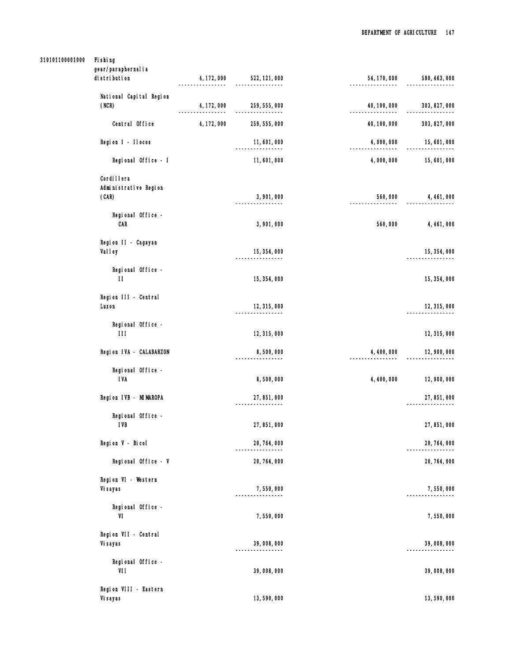# 310101100001000 Fishing

| gear/paraphernal i a              |             |                             |              |               |
|-----------------------------------|-------------|-----------------------------|--------------|---------------|
| di stri buti on                   | 4, 172, 000 | 522, 121, 000               | 54, 170, 000 | 580, 463, 000 |
| National Capital Region           |             |                             |              |               |
| (NCR)                             | 4, 172, 000 | 259, 555, 000<br>---------- | 40, 100, 000 | 303, 827, 000 |
| Central Office                    | 4, 172, 000 | 259, 555, 000               | 40, 100, 000 | 303, 827, 000 |
| Region I - Ilocos                 |             | 11,601,000                  | 4,000,000    | 15,601,000    |
| Regional Office - I               |             | 11,601,000                  | 4,000,000    | 15,601,000    |
| Cordi I lera                      |             |                             |              |               |
| Administrative Region             |             |                             |              |               |
| (CAR)                             |             | 3,901,000                   | 560,000      | 4, 461, 000   |
|                                   |             |                             |              |               |
| Regional Office -                 |             |                             |              |               |
| CAR                               |             | 3,901,000                   | 560,000      | 4, 461, 000   |
| Region II - Cagayan               |             |                             |              |               |
| Valley                            |             | 15, 354, 000                |              | 15, 354, 000  |
|                                   |             |                             |              |               |
| Regional Office -<br>$\mathbf{H}$ |             |                             |              |               |
|                                   |             | 15, 354, 000                |              | 15, 354, 000  |
| Region III - Central              |             |                             |              |               |
| Luzon                             |             | 12, 315, 000                |              | 12, 315, 000  |
|                                   |             |                             |              |               |
| Regional Office -<br>$\mathbf{H}$ |             | 12, 315, 000                |              | 12, 315, 000  |
|                                   |             |                             |              |               |
| Region IVA - CALABARZON           |             | 8,500,000                   | 4, 400, 000  | 12,900,000    |
| Regional Office -                 |             |                             |              |               |
| <b>IVA</b>                        |             | 8,500,000                   | 4, 400, 000  | 12,900,000    |
| Region IVB - MIMAROPA             |             |                             |              |               |
|                                   |             | 27, 851, 000                |              | 27, 851, 000  |
| Regional Office -                 |             |                             |              |               |
| <b>IVB</b>                        |             | 27, 851, 000                |              | 27, 851, 000  |
| Region V - Bicol                  |             | 20, 764, 000                |              | 20, 764, 000  |
|                                   |             |                             |              |               |
| Regional Office - V               |             | 20, 764, 000                |              | 20, 764, 000  |
| Region VI - Western               |             |                             |              |               |
| Vi sayas                          |             | 7,550,000                   |              | 7,550,000     |
|                                   |             |                             |              |               |
| Regional Office -<br>VI           |             | 7,550,000                   |              | 7,550,000     |
|                                   |             |                             |              |               |
| Region VII - Central              |             |                             |              |               |
| Vi sayas                          |             | 39,008,000                  |              | 39,008,000    |
| Regional Office -                 |             |                             |              |               |
| VII                               |             | 39,008,000                  |              | 39,008,000    |
|                                   |             |                             |              |               |
| Region VIII - Eastern<br>Vi sayas |             | 13,590,000                  |              | 13,590,000    |
|                                   |             |                             |              |               |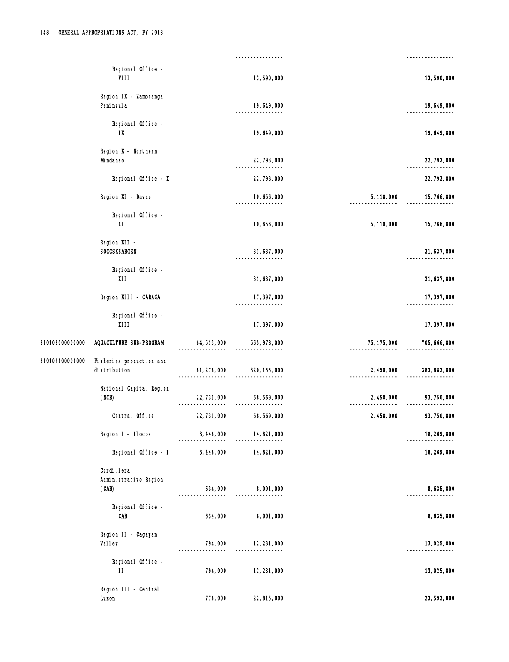|                 | Regional Office -<br>VIII                       |                           | 13,590,000                   |                             | 13,590,000    |
|-----------------|-------------------------------------------------|---------------------------|------------------------------|-----------------------------|---------------|
|                 | Region IX - Zamboanga<br>Peni nsul a            |                           | 19, 649, 000<br>-------      |                             | 19, 649, 000  |
|                 | Regional Office -<br>$\mathsf{I} \mathsf{X}$    |                           | 19, 649, 000                 |                             | 19, 649, 000  |
|                 | Region X - Northern<br>Mi ndanao                |                           | 22, 793, 000<br>-------      |                             | 22, 793, 000  |
|                 | Regional Office - X                             |                           | 22, 793, 000                 |                             | 22, 793, 000  |
|                 | Region XI - Davao                               |                           | 10, 656, 000                 | 5, 110, 000                 | 15, 766, 000  |
|                 | Regional Office -<br>XI                         |                           | 10, 656, 000                 | 5, 110, 000                 | 15, 766, 000  |
|                 | Region XII -<br>SOCCSKSARGEN                    |                           | 31, 637, 000                 |                             | 31, 637, 000  |
|                 | Regional Office -<br>XII                        |                           | 31, 637, 000                 |                             | 31, 637, 000  |
|                 | Region XIII - CARAGA                            |                           | 17, 397, 000<br>----------   |                             | 17, 397, 000  |
|                 | Regional Office -<br><b>XIII</b>                |                           | 17, 397, 000                 |                             | 17, 397, 000  |
| 310102000000000 | AQUACULTURE SUB-PROGRAM                         | 64, 513, 000              | 565, 978, 000<br>----------- | 75, 175, 000<br>----------- | 705, 666, 000 |
| 310102100001000 | Fisheries production and<br>di stri buti on     | 61, 278, 000              | 320, 155, 000                | 2, 450, 000                 | 383, 883, 000 |
|                 | National Capital Region<br>(NCR)                | 22, 731, 000<br>--------- | 68, 569, 000<br>.            | 2, 450, 000                 | 93, 750, 000  |
|                 | Central Office                                  | 22, 731, 000              | 68, 569, 000                 | 2, 450, 000                 | 93, 750, 000  |
|                 | Region I - Ilocos                               | 3, 448, 000               | 14, 821, 000                 |                             | 18, 269, 000  |
|                 | Regional Office - I                             | 3, 448, 000               | 14, 821, 000                 |                             | 18, 269, 000  |
|                 | Cordi I I era<br>Administrative Region<br>(CAR) | 634,000                   | 8,001,000                    |                             | 8,635,000     |
|                 | Regional Office -<br><b>CAR</b>                 | 634,000                   | 8,001,000                    |                             | 8,635,000     |
|                 | Region II - Cagayan<br>Val ley                  | 794,000                   | 12, 231, 000                 |                             | 13,025,000    |
|                 | Regional Office -<br>$\mathbf{H}$               | 794,000                   | 12, 231, 000                 |                             | 13,025,000    |
|                 | Region III - Central<br>Luzon                   | 778,000                   | 22, 815, 000                 |                             | 23, 593, 000  |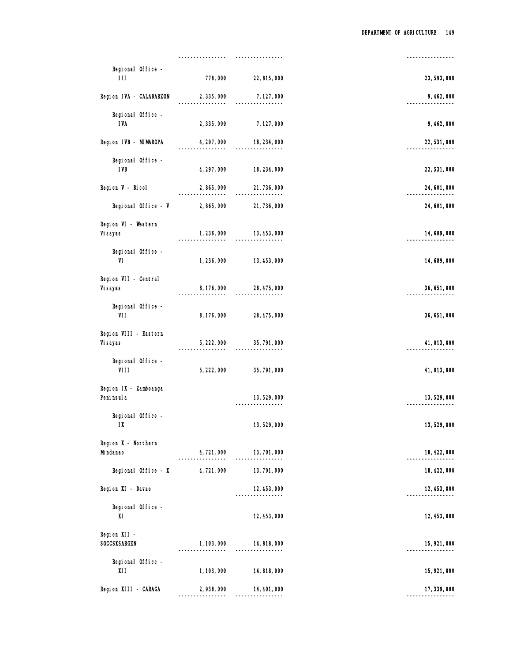| 23, 593, 000 | 22, 815, 000             | 778,000                 | Regional Office -<br>111             |
|--------------|--------------------------|-------------------------|--------------------------------------|
| 9, 462, 000  | 7, 127, 000<br>.         | 2, 335, 000<br>.        | Region IVA - CALABARZON              |
| 9, 462, 000  | 7, 127, 000              | 2, 335, 000             | Regional Office -<br><b>IVA</b>      |
| 22, 531, 000 | 18, 234, 000             | 4, 297, 000             | Region IVB - MIMAROPA                |
| 22, 531, 000 | 18, 234, 000             | 4, 297, 000             | Regional Office -<br><b>IVB</b>      |
| 24, 601, 000 | 21, 736, 000<br>         | 2,865,000               | Region V - Bicol                     |
| 24, 601, 000 | 21, 736, 000             | 2,865,000               | Regional Office - V                  |
| 14, 689, 000 | 13, 453, 000<br>.        | 1, 236, 000<br>-------- | Region VI - Western<br>Vi sayas      |
| 14,689,000   | 13, 453, 000             | 1, 236, 000             | Regional Office -<br>VI              |
| 36, 651, 000 | 28, 475, 000             | 8, 176, 000             | Region VII - Central<br>Vi sayas     |
| 36, 651, 000 | 28, 475, 000             | 8, 176, 000             | Regional Office -<br>VII             |
| 41, 013, 000 | 35, 791, 000             | 5, 222, 000             | Region VIII - Eastern<br>Vi sayas    |
| 41, 013, 000 | 35, 791, 000             | 5, 222, 000             | Regional Office -<br>VIII            |
| 13, 529, 000 | 13,529,000<br>.          |                         | Region IX - Zamboanga<br>Peni nsul a |
| 13,529,000   | 13,529,000               |                         | Regional Office -<br>$1X$            |
| 18, 422, 000 | 13, 701, 000             | 4,721,000               | Region X - Northern<br>Mi ndanao     |
| 18, 422, 000 | 13, 701, 000             | 4,721,000               | Regional Office - X                  |
| 12, 453, 000 | 12, 453, 000<br>-------- |                         | Region XI - Davao                    |
| 12, 453, 000 | 12, 453, 000             |                         | Regional Office -<br>XI              |
| 15, 921, 000 | 14,818,000<br>. <u>.</u> | 1, 103, 000             | Region XII -<br>SOCCSKSARGEN         |
| 15, 921, 000 | 14, 818, 000             | 1, 103, 000             | Regional Office -<br>XII             |
| 17, 339, 000 | 14, 401, 000             | 2,938,000               | Region XIII - CARAGA                 |
|              |                          |                         |                                      |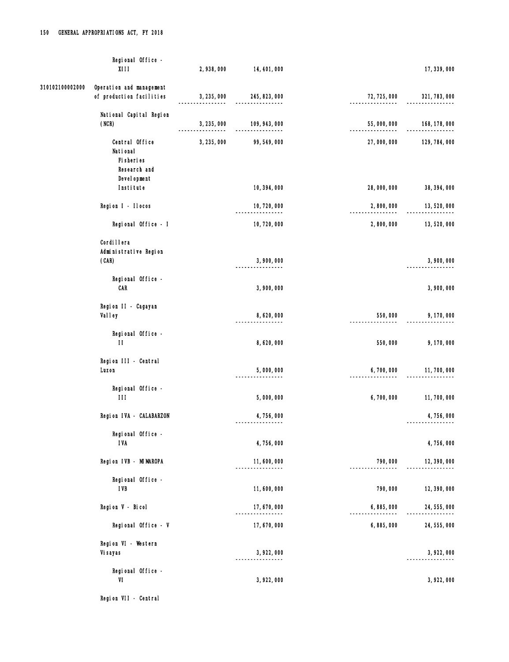|                 | Regional Office -<br>X111                            | 2,938,000              | 14, 401, 000                       |                             | 17, 339, 000  |
|-----------------|------------------------------------------------------|------------------------|------------------------------------|-----------------------------|---------------|
| 310102100002000 | Operation and management<br>of production facilities | 3, 235, 000            | 245, 823, 000                      | 72, 725, 000                | 321, 783, 000 |
|                 | National Capital Region<br>(NCR)                     | 3, 235, 000<br>------- | 109, 943, 000<br>----------------- | 55,000,000<br>------------- | 168, 178, 000 |
|                 | Central Office<br>National<br>Fi sheri es            | 3, 235, 000            | 99, 549, 000                       | 27,000,000                  | 129, 784, 000 |
|                 | Research and<br>Devel opment<br>Institute            |                        | 10, 394, 000                       | 28,000,000                  | 38, 394, 000  |
|                 | Region I - Ilocos                                    |                        | 10, 720, 000                       | 2,800,000                   | 13,520,000    |
|                 | Regional Office - I                                  |                        | 10,720,000                         | 2,800,000                   | 13,520,000    |
|                 | Cordi I I era<br>Administrative Region<br>(CAR)      |                        | 3,900,000                          |                             | 3,900,000     |
|                 | Regional Office -                                    |                        |                                    |                             |               |
|                 | CAR                                                  |                        | 3,900,000                          |                             | 3,900,000     |
|                 | Region II - Cagayan<br><b>Valley</b>                 |                        | 8,620,000                          | 550,000                     | 9, 170, 000   |
|                 | Regional Office -<br>$\mathbf{H}$                    |                        | 8,620,000                          | 550,000                     | 9,170,000     |
|                 | Region III - Central<br>Luzon                        |                        | 5,000,000<br>------------          | 6,700,000                   | 11,700,000    |
|                 | Regional Office -<br>$\mathbf{H}$                    |                        | 5,000,000                          | 6,700,000                   | 11,700,000    |
|                 | Region IVA - CALABARZON                              |                        | 4,756,000<br>.                     |                             | 4,756,000     |
|                 | Regional Office -<br><b>IVA</b>                      |                        | 4,756,000                          |                             | 4,756,000     |
|                 | Region IVB - MIMAROPA                                |                        | 11,600,000                         | 790,000                     | 12, 390, 000  |
|                 | Regional Office -<br><b>IVB</b>                      |                        | 11,600,000                         | 790,000                     | 12, 390, 000  |
|                 | Region V - Bicol                                     |                        | 17,670,000<br>.                    | 6,885,000                   | 24, 555, 000  |
|                 | Regional Office - V                                  |                        | 17,670,000                         | 6,885,000                   | 24, 555, 000  |
|                 | Region VI - Western<br>Vi sayas                      |                        | 3, 922, 000<br>.                   |                             | 3, 922, 000   |
|                 | Regional Office -<br>VI                              |                        | 3, 922, 000                        |                             | 3, 922, 000   |

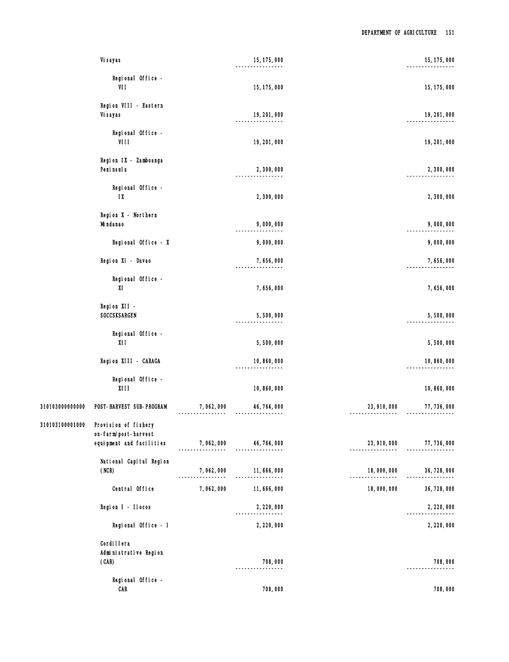|                 | Vi sayas                                       |                          | 15, 175, 000                  |                                  | 15, 175, 000              |
|-----------------|------------------------------------------------|--------------------------|-------------------------------|----------------------------------|---------------------------|
|                 | Regional Office -<br>VII                       |                          | 15, 175, 000                  |                                  | 15, 175, 000              |
|                 | Region VIII - Eastern<br>Vi sayas              |                          | 19, 201, 000<br>. <u>.</u>    |                                  | 19, 201, 000              |
|                 | Regional Office -<br>VIII                      |                          | 19, 201, 000                  |                                  | 19, 201, 000              |
|                 | Region IX - Zamboanga<br>Peni nsul a           |                          | 2,300,000                     |                                  | 2,300,000                 |
|                 | Regional Office -<br>$1X$                      |                          | 2,300,000                     |                                  | 2,300,000                 |
|                 | Region X - Northern<br>Mi ndanao               |                          | 9,000,000                     |                                  | 9,000,000                 |
|                 | Regional Office - X                            |                          | 9,000,000                     |                                  | 9,000,000                 |
|                 | Region XI - Davao                              |                          | 7,656,000                     |                                  | 7,656,000                 |
|                 | Regional Office -<br>XI                        |                          | 7,656,000                     |                                  | 7,656,000                 |
|                 | Region XII -<br>SOCCSKSARGEN                   |                          | 5,500,000                     |                                  | 5,500,000                 |
|                 | Regional Office -<br>XII                       |                          | 5,500,000                     |                                  | 5,500,000                 |
|                 | Region XIII - CARAGA                           |                          | 10,860,000                    |                                  | 10,860,000                |
|                 | Regional Office -<br>X111                      |                          | 10,860,000                    |                                  | 10,860,000                |
| 310103000000000 | POST-HARVEST SUB-PROGRAM                       | ----------------         | 7, 062, 000 46, 764, 000<br>. | 23, 910, 000<br>---------------- | 77, 736, 000              |
| 310103100001000 | Provision of fishery<br>on-farm/post-harvest   |                          |                               |                                  |                           |
|                 | equipment and facilities                       | 7, 062, 000 46, 764, 000 |                               |                                  | 23, 910, 000 77, 736, 000 |
|                 | National Capital Region<br>(NCR)               | 7,062,000                | 11,666,000                    | 18,000,000                       | 36, 728, 000              |
|                 | Central Office                                 | 7,062,000                | 11, 666, 000                  | 18,000,000                       | 36, 728, 000              |
|                 | Region I - Ilocos                              |                          | 2, 220, 000<br>.              |                                  | 2, 220, 000               |
|                 | Regional Office - I                            |                          | 2, 220, 000                   |                                  | 2, 220, 000               |
|                 | Cordi I lera<br>Administrative Region<br>(CAR) |                          | 708,000                       |                                  | 708,000                   |
|                 | Regional Office -<br><b>CAR</b>                |                          | 708,000                       |                                  | 708,000                   |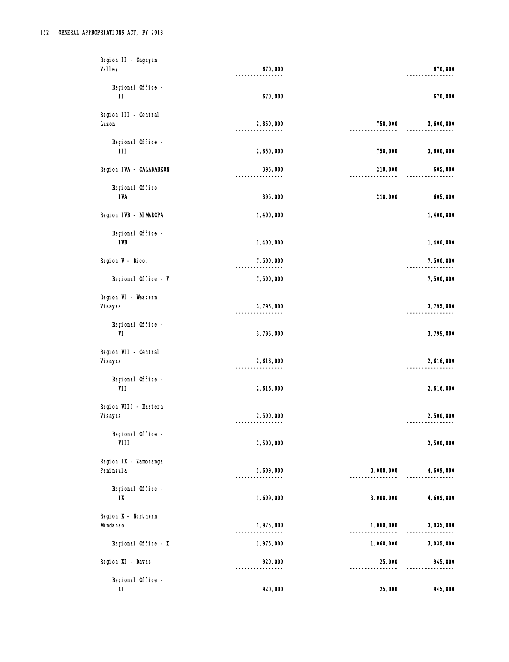| Region II - Cagayan                          |                           |           |           |
|----------------------------------------------|---------------------------|-----------|-----------|
| <b>Valley</b>                                | 670,000                   |           | 670,000   |
| Regional Office -<br>$\mathbf{H}$            | 670,000                   |           | 670,000   |
| Region III - Central<br>Luzon                | 2,850,000                 | 750,000   | 3,600,000 |
| Regional Office -<br>111                     | 2,850,000                 | 750,000   | 3,600,000 |
| Region IVA - CALABARZON                      | 395,000                   | 210,000   | 605,000   |
| Regional Office -<br><b>IVA</b>              | 395,000                   | 210,000   | 605,000   |
| Region IVB - MIMAROPA                        | 1,400,000                 |           | 1,400,000 |
| Regional Office -<br><b>IVB</b>              | 1,400,000                 |           | 1,400,000 |
| Region V - Bicol                             | 7,500,000<br>. <u>.</u>   |           | 7,500,000 |
| Regional Office - V                          | 7,500,000                 |           | 7,500,000 |
| Region VI - Western<br>Vi sayas              | 3,795,000<br>------------ |           | 3,795,000 |
| Regional Office -<br>VI                      | 3,795,000                 |           | 3,795,000 |
| Region VII - Central<br>Vi sayas             | 2,616,000                 |           | 2,616,000 |
| Regional Office -<br>VII                     | 2,616,000                 |           | 2,616,000 |
| Region VIII - Eastern<br>Vi sayas            | 2,500,000                 |           | 2,500,000 |
| Regional Office -<br>VIII                    | 2,500,000                 |           | 2,500,000 |
| Region IX - Zamboanga<br>Peni nsul a         | 1,609,000<br>.            | 3,000,000 | 4,609,000 |
| Regional Office -<br>$\mathsf{I} \mathsf{X}$ | 1,609,000                 | 3,000,000 | 4,609,000 |
| Region X - Northern<br>Mi ndanao             | 1,975,000                 | 1,060,000 | 3,035,000 |
| Regional Office - X                          | 1,975,000                 | 1,060,000 | 3,035,000 |
| Region XI - Davao                            | 920,000                   | 25,000    | 945,000   |
| Regional Office -<br>XI                      | 920,000                   | 25,000    | 945,000   |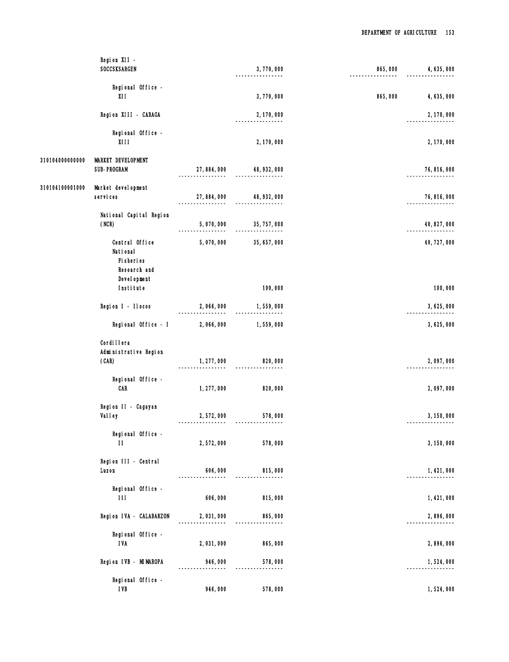|                 | Region XII -                                   |                              |                                  |         |              |
|-----------------|------------------------------------------------|------------------------------|----------------------------------|---------|--------------|
|                 | SOCCSKSARGEN                                   |                              | 3,770,000                        | 865,000 | 4, 635, 000  |
|                 | Regional Office -                              |                              |                                  |         |              |
|                 | XII                                            |                              | 3,770,000                        | 865,000 | 4,635,000    |
|                 | Region XIII - CARAGA                           |                              | 2, 170, 000<br>--------          |         | 2, 170, 000  |
|                 | Regional Office -<br><b>XIII</b>               |                              | 2, 170, 000                      |         | 2, 170, 000  |
| 310104000000000 | <b>MARKET DEVELOPMENT</b><br>SUB-PROGRAM       |                              | 27,884,000 48,932,000            |         | 76, 816, 000 |
| 310104100001000 | Market devel opment<br>services                | 27, 884, 000                 | 48, 932, 000                     |         | 76, 816, 000 |
|                 | National Capital Region<br>(NCR)               | 5,070,000                    | 35, 757, 000<br>---------------- |         | 40, 827, 000 |
|                 | Central Office<br>National<br>Fi sheri es      | 5,070,000                    | 35, 657, 000                     |         | 40, 727, 000 |
|                 | Research and<br>Devel opment<br>Institute      |                              | 100,000                          |         | 100,000      |
|                 | Region I - Ilocos                              | 2,066,000                    | 1,559,000                        |         | 3,625,000    |
|                 | Regional Office - I                            | 2,066,000                    | 1,559,000                        |         | 3,625,000    |
|                 | Cordi I lera<br>Administrative Region<br>(CAR) | 1, 277, 000<br>------------- | 820,000                          |         | 2,097,000    |
|                 | Regional Office -<br>CAR                       | 1, 277, 000                  | 820,000                          |         | 2,097,000    |
|                 | Region II - Cagayan<br>Valley                  | 2,572,000                    | 578,000                          |         | 3, 150, 000  |
|                 | Regional Office -<br>$\mathbf{H}$              | 2,572,000                    | 578,000                          |         | 3, 150, 000  |
|                 | Region III - Central<br>Luzon                  | 606,000                      | 815,000                          |         | 1, 421, 000  |
|                 | Regional Office -<br>$\mathbf{H}$              | 606,000                      | 815,000                          |         | 1,421,000    |
|                 | Region IVA - CALABARZON                        | 2,031,000                    | 865,000                          |         | 2,896,000    |
|                 | Regional Office -<br><b>IVA</b>                | 2,031,000                    | 865,000                          |         | 2,896,000    |
|                 | Region IVB - MIMAROPA                          | 946,000                      | 578,000                          |         | 1,524,000    |
|                 | Regional Office -<br><b>IVB</b>                | 946,000                      | 578,000                          |         | 1,524,000    |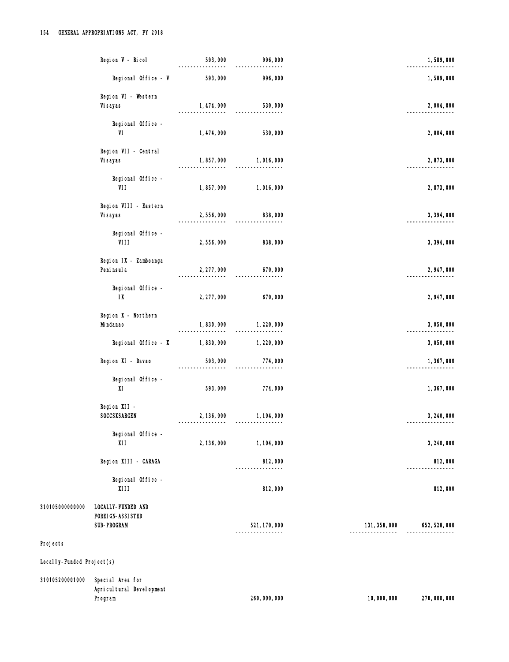|                             | Region V - Bicol                                                      | 593,000               | 996,000                         |                               | 1,589,000     |
|-----------------------------|-----------------------------------------------------------------------|-----------------------|---------------------------------|-------------------------------|---------------|
|                             | Regional Office - V                                                   | 593,000               | 996,000                         |                               | 1,589,000     |
|                             | Region VI - Western                                                   |                       |                                 |                               |               |
|                             | Vi sayas                                                              | 1, 474, 000           | 530,000                         |                               | 2,004,000     |
|                             | Regional Office -<br>VI                                               | 1, 474, 000           | 530,000                         |                               | 2,004,000     |
|                             | Region VII - Central<br>Vi sayas                                      | 1,857,000             | 1,016,000                       |                               | 2,873,000     |
|                             | Regional Office -<br>VII                                              | 1,857,000             | 1,016,000                       |                               | 2,873,000     |
|                             | Region VIII - Eastern<br>Vi sayas                                     | 2,556,000             | 838,000                         |                               | 3, 394, 000   |
|                             | Regional Office -<br>VIII                                             | 2,556,000             | 838,000                         |                               | 3, 394, 000   |
|                             | Region IX - Zamboanga<br>Peni nsul a                                  | 2, 277, 000           | 670,000                         |                               | 2, 947, 000   |
|                             | Regional Office -<br>1X                                               | 2, 277, 000           | 670,000                         |                               | 2,947,000     |
|                             | Region X - Northern<br>Mi ndanao                                      | 1,830,000<br>-------- | 1, 220, 000<br>---------------- |                               | 3,050,000     |
|                             | Regional Office - X                                                   | 1,830,000             | 1,220,000                       |                               | 3,050,000     |
|                             | Region XI - Davao                                                     | 593,000               | 774,000                         |                               | 1,367,000     |
|                             | Regional Office -<br>XI                                               | 593,000               | 774,000                         |                               | 1,367,000     |
|                             | Region XII -<br>SOCCSKSARGEN                                          | 2, 136, 000           | 1, 104, 000<br>---------------- |                               | 3, 240, 000   |
|                             | Regional Office -<br>X11                                              | 2, 136, 000           | 1, 104, 000                     |                               | 3, 240, 000   |
|                             | Region XIII - CARAGA                                                  |                       | 812,000                         |                               | 812,000       |
|                             | Regional Office -<br><b>XIII</b>                                      |                       | 812,000                         |                               | 812,000       |
| 310105000000000             | LOCALLY-FUNDED AND<br><b>FOREI GN-ASSI STED</b><br><b>SUB-PROGRAM</b> |                       | 521, 170, 000<br>-------------  | 131, 358, 000<br>. <u>.</u> . | 652, 528, 000 |
| Projects                    |                                                                       |                       |                                 |                               |               |
| Local I y-Funded Project(s) |                                                                       |                       |                                 |                               |               |
| 310105200001000             | Special Area for<br>Agricultural Development<br>Program               |                       | 260,000,000                     | 10,000,000                    | 270,000,000   |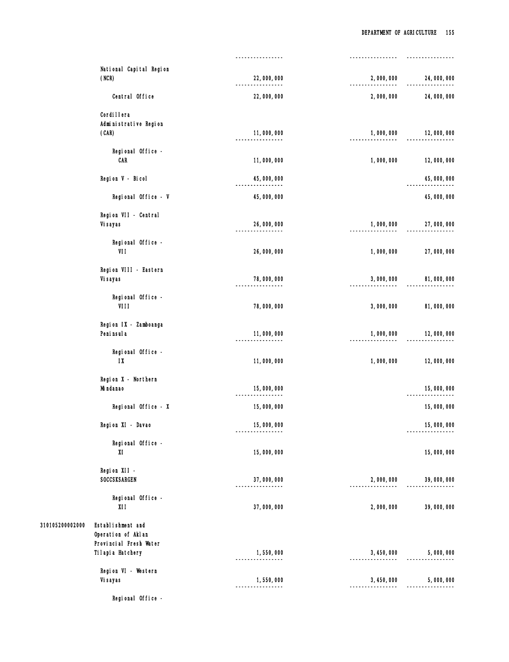|                 |                                                                   | ----------------          |                            |            |
|-----------------|-------------------------------------------------------------------|---------------------------|----------------------------|------------|
|                 | National Capital Region<br>(NCR)                                  | 22,000,000                | 2,000,000                  | 24,000,000 |
|                 | Central Office                                                    | 22,000,000                | 2,000,000                  | 24,000,000 |
|                 | Cordi I I era<br>Administrative Region<br>(CAR)                   | 11,000,000<br>.           | 1,000,000<br>----------    | 12,000,000 |
|                 | Regional Office -<br>CAR                                          | 11,000,000                | 1,000,000                  | 12,000,000 |
|                 | Region V - Bicol                                                  | 45,000,000                |                            | 45,000,000 |
|                 | Regional Office - V                                               | 45,000,000                |                            | 45,000,000 |
|                 | Region VII - Central<br>Vi sayas                                  | 26,000,000                | 1,000,000                  | 27,000,000 |
|                 | Regional Office -<br>VII                                          | 26,000,000                | 1,000,000                  | 27,000,000 |
|                 | Region VIII - Eastern<br>Vi sayas                                 | 78,000,000                | 3,000,000                  | 81,000,000 |
|                 | Regional Office -<br>VIII                                         | 78,000,000                | 3,000,000                  | 81,000,000 |
|                 | Region IX - Zamboanga<br>Peni nsul a                              | 11,000,000                | 1,000,000                  | 12,000,000 |
|                 | Regional Office -<br>1X                                           | 11,000,000                | 1,000,000                  | 12,000,000 |
|                 | Region X - Northern<br>Mi ndanao                                  | 15,000,000                |                            | 15,000,000 |
|                 | Regional Office - X                                               | 15,000,000                |                            | 15,000,000 |
|                 | Region XI - Davao                                                 | 15,000,000<br>--------    |                            | 15,000,000 |
|                 | Regional Office -<br>XI                                           | 15,000,000                |                            | 15,000,000 |
|                 | Region XII -<br>SOCCSKSARGEN                                      | 37,000,000                | 2,000,000                  | 39,000,000 |
|                 | Regional Office -<br>XII                                          | 37,000,000                | 2,000,000                  | 39,000,000 |
| 310105200002000 | Establishment and<br>Operation of Aklan<br>Provincial Fresh Water |                           |                            |            |
|                 | Tilapia Hatchery                                                  | 1,550,000<br>.            | 3, 450, 000                | 5,000,000  |
|                 | Region VI - Western<br>Vi sayas                                   | 1,550,000<br>------------ | 3, 450, 000<br>----------- | 5,000,000  |
|                 | Regional Office -                                                 |                           |                            |            |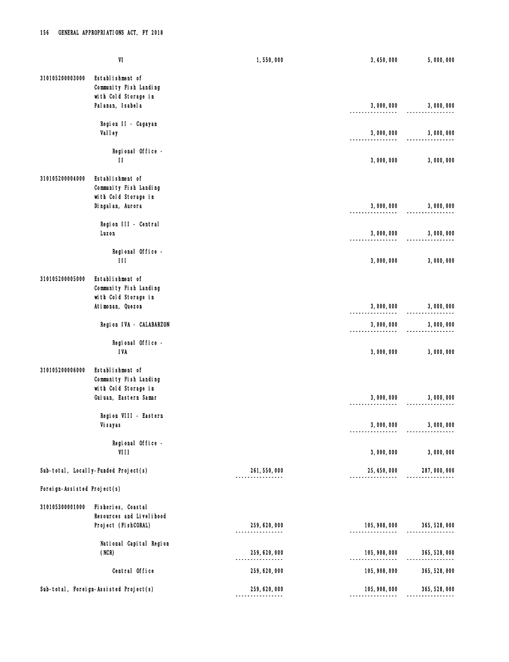|                             | $\ensuremath{\mathsf{VI}}\xspace$                                  | 1,550,000                                           | 3, 450, 000                 | 5,000,000     |
|-----------------------------|--------------------------------------------------------------------|-----------------------------------------------------|-----------------------------|---------------|
| 310105200003000             | Establishment of<br>Community Fish Landing<br>with Cold Storage in |                                                     |                             |               |
|                             | Pal anan, I sabel a                                                |                                                     | 3,000,000                   | 3,000,000     |
|                             | Region II - Cagayan<br>Val I ey                                    |                                                     | 3,000,000                   | 3,000,000     |
|                             | Regional Office -<br>$\mathbf{H}$                                  |                                                     | 3,000,000                   | 3,000,000     |
| 310105200004000             | Establishment of<br>Community Fish Landing<br>with Cold Storage in |                                                     |                             |               |
|                             | Dingal an, Aurora                                                  |                                                     | 3,000,000                   | 3,000,000     |
|                             | Region III - Central<br>Luzon                                      |                                                     | 3,000,000                   | 3,000,000     |
|                             | Regional Office -<br>$\mathbf{H}$                                  |                                                     | 3,000,000                   | 3,000,000     |
| 310105200005000             | Establishment of<br>Community Fish Landing                         |                                                     |                             |               |
|                             | with Cold Storage in<br>Atimonan, Quezon                           |                                                     | 3,000,000                   | 3,000,000     |
|                             | Region IVA - CALABARZON                                            |                                                     | 3,000,000<br>-------------- | 3,000,000     |
|                             | Regional Office -<br><b>IVA</b>                                    |                                                     | 3,000,000                   | 3,000,000     |
| 310105200006000             | Establishment of<br>Community Fish Landing                         |                                                     |                             |               |
|                             | with Cold Storage in<br>Guiuan, Eastern Samar                      |                                                     | 3,000,000                   | 3,000,000     |
|                             | Region VIII - Eastern<br>Vi sayas                                  |                                                     | 3,000,000                   | 3,000,000     |
|                             | Regional Office -<br>VIII                                          |                                                     | 3,000,000                   | 3,000,000     |
|                             | Sub-total, Locally-Funded Project(s)                               | 261, 550, 000                                       | 25, 450, 000                | 287,000,000   |
| Foreign-Assisted Project(s) |                                                                    |                                                     |                             |               |
| 310105300001000             | Fisheries, Coastal<br>Resources and Livel i hood                   |                                                     |                             |               |
|                             | Project (FishCORAL)                                                | 259, 620, 000<br>. <u>_ _ _ _ _ _ _ _ _ _ _ _</u> _ | 105, 908, 000<br>.          | 365, 528, 000 |
|                             | National Capital Region<br>(NCR)                                   | 259, 620, 000<br>.                                  | 105, 908, 000               | 365, 528, 000 |
|                             | Central Office                                                     | 259, 620, 000                                       | 105, 908, 000               | 365, 528, 000 |
|                             | Sub-total, Foreign-Assisted Project(s)                             | 259, 620, 000<br>----------------                   | 105, 908, 000               | 365, 528, 000 |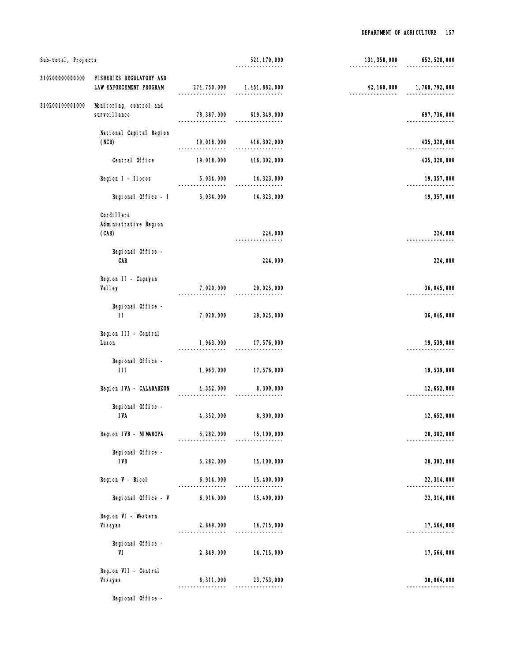| Sub-total, Projects |                                                        |                              | 521, 170, 000                            | 131, 358, 000                    | 652, 528, 000 |
|---------------------|--------------------------------------------------------|------------------------------|------------------------------------------|----------------------------------|---------------|
| 310200000000000     | FISHERIES REGULATORY AND<br>LAW ENFORCEMENT PROGRAM    |                              | 274, 750, 000 1, 451, 882, 000           | 42, 160, 000<br>---------------- | 1,768,792,000 |
| 310200100001000     | Monitoring, control and<br>survei I I ance             | 78, 387, 000<br>. <u>.</u> . | 619, 349, 000                            |                                  | 697, 736, 000 |
|                     | National Capital Region<br>(NCR)                       | 19,018,000                   | 416, 302, 000                            |                                  | 435, 320, 000 |
|                     | Central Office                                         | 19,018,000                   | 416, 302, 000                            |                                  | 435, 320, 000 |
|                     | Region I - Ilocos                                      | 5,034,000                    | 14, 323, 000                             |                                  | 19, 357, 000  |
|                     | Regional Office - I                                    | 5,034,000                    | 14, 323, 000                             |                                  | 19, 357, 000  |
|                     | Cordi I lera<br>Administrative Region<br>(CAR)         |                              | 224,000                                  |                                  | 224,000       |
|                     | Regional Office -<br>CAR                               |                              | 224,000                                  |                                  | 224,000       |
|                     | Region II - Cagayan<br><b>Valley</b>                   | 7,020,000                    | 29,025,000                               |                                  | 36, 045, 000  |
|                     | Regional Office -<br>$\mathbf{H}$                      | 7,020,000                    | 29,025,000                               |                                  | 36, 045, 000  |
|                     | Region III - Central<br>Luzon                          | --------                     | 1,963,000 17,576,000<br>---------------- |                                  | 19,539,000    |
|                     | Regional Office -<br>$\mathbf{III}$ and $\mathbf{III}$ | 1,963,000                    | 17,576,000                               |                                  | 19,539,000    |
|                     | Region IVA - CALABARZON                                | 4, 352, 000                  | 8,300,000                                |                                  | 12, 652, 000  |
|                     | Regional Office -<br><b>IVA</b>                        | 4, 352, 000                  | 8,300,000                                |                                  | 12, 652, 000  |
|                     | Region IVB - MIMAROPA                                  | 5, 282, 000                  | 15, 100, 000                             |                                  | 20, 382, 000  |
|                     | Regional Office -<br><b>IVB</b>                        | 5, 282, 000                  | 15, 100, 000                             |                                  | 20, 382, 000  |
|                     | Region V - Bicol                                       | 6,914,000                    | 15, 400, 000<br>.                        |                                  | 22, 314, 000  |
|                     | Regional Office - V                                    | 6, 914, 000                  | 15, 400, 000                             |                                  | 22, 314, 000  |
|                     | Region VI - Western<br>Vi sayas                        | 2,849,000                    | 14, 715, 000<br>-------                  |                                  | 17,564,000    |
|                     | Regional Office -<br>VI                                | 2,849,000                    | 14, 715, 000                             |                                  | 17,564,000    |
|                     | Region VII - Central<br>Vi sayas                       | 6, 311, 000                  | 23, 753, 000                             |                                  | 30, 064, 000  |
|                     | Regional Office -                                      |                              |                                          |                                  |               |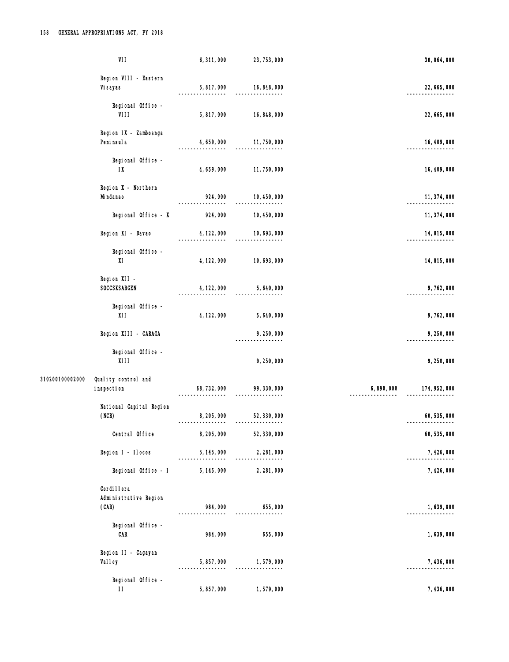|                 | VII                                            | 6,311,000   | 23, 753, 000                                 |           | 30, 064, 000  |
|-----------------|------------------------------------------------|-------------|----------------------------------------------|-----------|---------------|
|                 | Region VIII - Eastern<br>Vi sayas              | 5,817,000   | 16, 848, 000                                 |           | 22, 665, 000  |
|                 | Regional Office -<br>VIII                      | 5,817,000   | 16, 848, 000                                 |           | 22, 665, 000  |
|                 | Region IX - Zamboanga<br>Peni nsul a           | 4, 659, 000 | 11,750,000                                   |           | 16, 409, 000  |
|                 | Regional Office -<br>$\mathsf{I} \mathsf{X}$   | 4, 659, 000 | 11,750,000                                   |           | 16, 409, 000  |
|                 | Region X - Northern<br>Mi ndanao               | 924,000     | 10, 450, 000<br>-----------                  |           | 11, 374, 000  |
|                 | Regional Office - X                            | 924,000     | 10, 450, 000                                 |           | 11, 374, 000  |
|                 | Region XI - Davao                              | 4, 122, 000 | 10, 693, 000                                 |           | 14, 815, 000  |
|                 | Regional Office -<br>XI                        | 4, 122, 000 | 10, 693, 000                                 |           | 14,815,000    |
|                 | Region XII -<br>SOCCSKSARGEN                   | 4, 122, 000 | 5,640,000                                    |           | 9,762,000     |
|                 | Regional Office -<br>XII                       | 4, 122, 000 | 5,640,000                                    |           | 9,762,000     |
|                 | Region XIII - CARAGA                           |             | 9,250,000                                    |           | 9,250,000     |
|                 | Regional Office -<br>X111                      |             | 9,250,000                                    |           | 9,250,000     |
| 310200100002000 | Quality control and<br>inspection              |             | 68, 732, 000 99, 330, 000<br>$- - - - - - -$ | 6,890,000 | 174, 952, 000 |
|                 | National Capital Region<br>(NCR)               | 8,205,000   | 52, 330, 000                                 |           | 60, 535, 000  |
|                 | Central Office                                 | 8, 205, 000 | 52, 330, 000                                 |           | 60, 535, 000  |
|                 | Region I - Ilocos                              | 5, 145, 000 | 2, 281, 000                                  |           | 7, 426, 000   |
|                 | Regional Office - I                            | 5, 145, 000 | 2, 281, 000                                  |           | 7,426,000     |
|                 | Cordi I lera<br>Administrative Region<br>(CAR) | 984,000     | 655,000                                      |           | 1,639,000     |
|                 | Regional Office -<br><b>CAR</b>                | 984,000     | 655,000                                      |           | 1,639,000     |
|                 | Region II - Cagayan<br>Valley                  | 5, 857, 000 | 1, 579, 000                                  |           | 7, 436, 000   |
|                 | Regional Office -<br>$\mathbf{H}$              | 5,857,000   | 1,579,000                                    |           | 7,436,000     |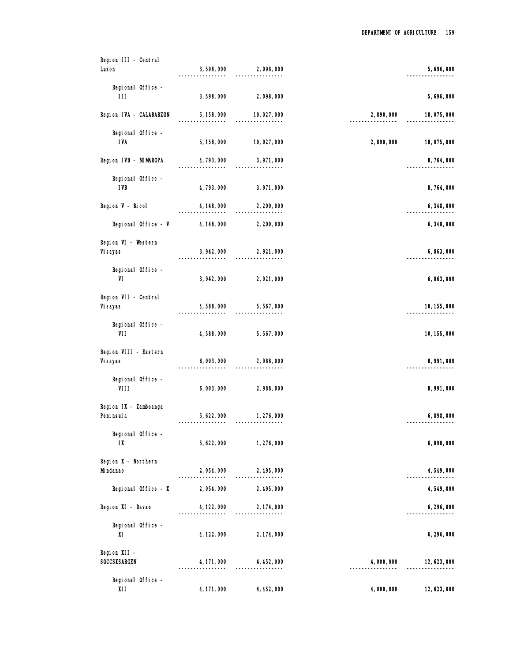| Region III - Central    |             |                             |           |              |
|-------------------------|-------------|-----------------------------|-----------|--------------|
| Luzon                   | 3,598,000   | 2,098,000                   |           | 5,696,000    |
| Regional Office -       |             |                             |           |              |
| 111                     | 3,598,000   | 2,098,000                   |           | 5,696,000    |
| Region IVA - CALABARZON | 5, 158, 000 | 10,027,000<br>------------- | 2,890,000 | 18,075,000   |
| Regional Office -       |             |                             |           |              |
| <b>IVA</b>              | 5, 158, 000 | 10,027,000                  | 2,890,000 | 18,075,000   |
| Region IVB - MIMAROPA   | 4, 793, 000 | 3,971,000                   |           | 8,764,000    |
| Regional Office -       |             |                             |           |              |
| <b>IVB</b>              | 4, 793, 000 | 3, 971, 000                 |           | 8,764,000    |
| Region V - Bicol        | 4, 148, 000 | 2, 200, 000                 |           | 6,348,000    |
| Regional Office - V     | 4, 148, 000 | 2, 200, 000                 |           | 6,348,000    |
| Region VI - Western     |             |                             |           |              |
| Vi sayas                |             | 3, 942, 000 2, 921, 000     |           | 6,863,000    |
| Regional Office -       |             |                             |           |              |
| VI                      | 3, 942, 000 | 2,921,000                   |           | 6,863,000    |
| Region VII - Central    |             |                             |           |              |
| Vi sayas                | 4,588,000   | 5,567,000                   |           | 10, 155, 000 |
| Regional Office -       |             |                             |           |              |
| VII                     | 4,588,000   | 5,567,000                   |           | 10, 155, 000 |
| Region VIII - Eastern   |             |                             |           |              |
| Vi sayas                | 6,003,000   | 2,988,000                   |           | 8,991,000    |
| Regional Office -       |             |                             |           |              |
| VIII                    | 6,003,000   | 2,988,000                   |           | 8,991,000    |
| Region IX - Zamboanga   |             |                             |           |              |
| Peni nsul a             | 5, 622, 000 | 1,276,000<br>.              |           | 6,898,000    |
| Regional Office -       |             |                             |           |              |
| $\mathsf{I} \mathsf{X}$ | 5, 622, 000 | 1,276,000                   |           | 6,898,000    |
| Region X - Northern     |             |                             |           |              |
| Mi ndanao               | 2,054,000   | 2, 495, 000                 |           | 4,549,000    |
| Regional Office - X     | 2,054,000   | 2,495,000                   |           | 4,549,000    |
| Region XI - Davao       | 4, 122, 000 | 2, 174, 000                 |           | 6, 296, 000  |
| Regional Office -       |             |                             |           |              |
| XI                      | 4, 122, 000 | 2, 174, 000                 |           | 6, 296, 000  |
| Region XII -            |             |                             |           |              |
| SOCCSKSARGEN            | 4, 171, 000 | 4, 452, 000                 | 4,000,000 | 12, 623, 000 |
| Regional Office -       |             |                             |           |              |
| XII                     | 4, 171, 000 | 4, 452, 000                 | 4,000,000 | 12, 623, 000 |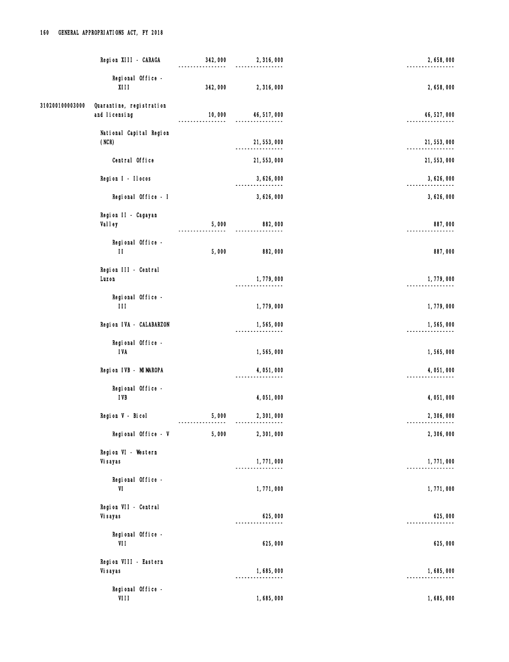|                 | Region XIII - CARAGA                        | 342,000 | 2,316,000                  | 2,658,000    |
|-----------------|---------------------------------------------|---------|----------------------------|--------------|
|                 | Regional Office -<br><b>XIII</b>            | 342,000 | 2,316,000                  | 2,658,000    |
| 310200100003000 | Quarantine, registration<br>and I i censing | 10,000  | 46, 517, 000               | 46, 527, 000 |
|                 | National Capital Region<br>(NCR)            |         | 21, 553, 000<br>--------   | 21, 553, 000 |
|                 | Central Office                              |         | 21, 553, 000               | 21, 553, 000 |
|                 | Region I - Ilocos                           |         | 3,626,000                  | 3,626,000    |
|                 | Regional Office - I                         |         | 3,626,000                  | 3,626,000    |
|                 | Region II - Cagayan<br>Val I ey             | 5,000   | 882,000                    | 887,000      |
|                 | Regional Office -<br>$\mathbf{H}$           | 5,000   | 882,000                    | 887,000      |
|                 | Region III - Central<br>Luzon               |         | 1,779,000                  | 1,779,000    |
|                 | Regional Office -<br>111                    |         | 1,779,000                  | 1,779,000    |
|                 | Region IVA - CALABARZON                     |         | 1,565,000<br>------------- | 1,565,000    |
|                 | Regional Office -<br><b>IVA</b>             |         | 1,565,000                  | 1,565,000    |
|                 | Region IVB - MIMAROPA                       |         | 4,051,000                  | 4,051,000    |
|                 | Regional Office -<br><b>IVB</b>             |         | 4,051,000                  | 4,051,000    |
|                 | Region V - Bicol                            | 5,000   | 2,301,000                  | 2,306,000    |
|                 | Regional Office - V                         | 5,000   | 2,301,000                  | 2,306,000    |
|                 | Region VI - Western<br>Vi sayas             |         | 1,771,000<br>-----------   | 1,771,000    |
|                 | Regional Office -<br>VI                     |         | 1,771,000                  | 1,771,000    |
|                 | Region VII - Central<br>Vi sayas            |         | 625,000                    | 625,000      |
|                 | Regional Office -<br>VII                    |         | 625,000                    | 625,000      |
|                 | Region VIII - Eastern<br>Vi sayas           |         | 1,685,000                  | 1,685,000    |
|                 | Regional Office -<br>VIII                   |         | 1,685,000                  | 1,685,000    |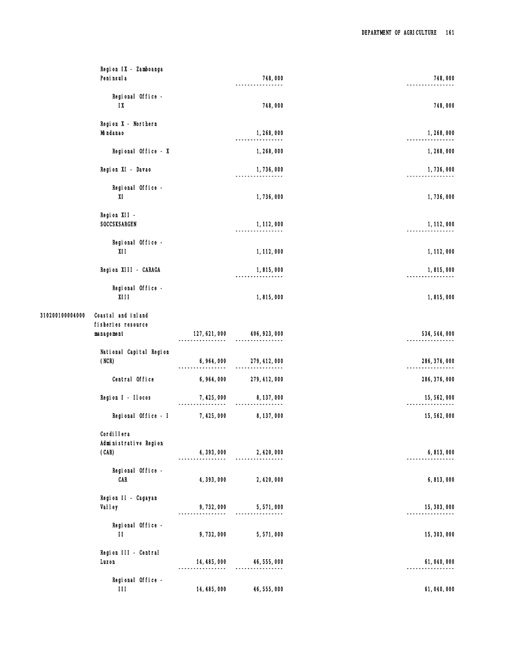|                 | Region IX - Zamboanga<br>Peni nsul a                     |               | 748,000                     | 748,000       |
|-----------------|----------------------------------------------------------|---------------|-----------------------------|---------------|
|                 | Regional Office -<br>$\mathsf{I} \mathsf{X}$             |               | 748,000                     | 748,000       |
|                 | Region X - Northern<br>Mi ndanao                         |               | 1,268,000<br>.              | 1,268,000     |
|                 | Regional Office - X                                      |               | 1,268,000                   | 1,268,000     |
|                 | Region XI - Davao                                        |               | 1,736,000                   | 1,736,000     |
|                 | Regional Office -<br>XI                                  |               | 1,736,000                   | 1,736,000     |
|                 | Region XII -<br><b>SOCCSKSARGEN</b>                      |               | 1, 112, 000                 | 1, 112, 000   |
|                 | Regional Office -<br>X11                                 |               | 1, 112, 000                 | 1, 112, 000   |
|                 | Region XIII - CARAGA                                     |               | 1,815,000                   | 1,815,000     |
|                 | Regional Office -<br><b>XIII</b>                         |               | 1,815,000                   | 1,815,000     |
| 310200100004000 | Coastal and inland<br>fi sheri es resource<br>management | 127, 621, 000 | 406, 923, 000               | 534, 544, 000 |
|                 | National Capital Region<br>(NCR)                         | 6, 964, 000   | 279, 412, 000<br>. <u>.</u> | 286, 376, 000 |
|                 | Central Office                                           | 6, 964, 000   | 279, 412, 000               | 286, 376, 000 |
|                 | Region I - Ilocos                                        | 7, 425, 000   | 8, 137, 000                 | 15, 562, 000  |
|                 | Regional Office - I                                      | 7, 425, 000   | 8, 137, 000                 | 15,562,000    |
|                 | Cordi I I era<br>Administrative Region<br>(CAR)          | 4, 393, 000   | 2, 420, 000                 | 6,813,000     |
|                 | Regional Office -<br>CAR                                 | 4, 393, 000   | 2,420,000                   | 6,813,000     |
|                 | Region II - Cagayan<br><b>Valley</b>                     | 9,732,000     | 5,571,000                   | 15, 303, 000  |
|                 | Regional Office -<br>$\mathbf{H}$                        | 9,732,000     | 5,571,000                   | 15, 303, 000  |
|                 | Region III - Central<br>Luzon                            | 14, 485, 000  | 46, 555, 000                | 61,040,000    |
|                 | Regional Office -<br>$\mathbf{III}$                      | 14, 485, 000  | 46, 555, 000                | 61, 040, 000  |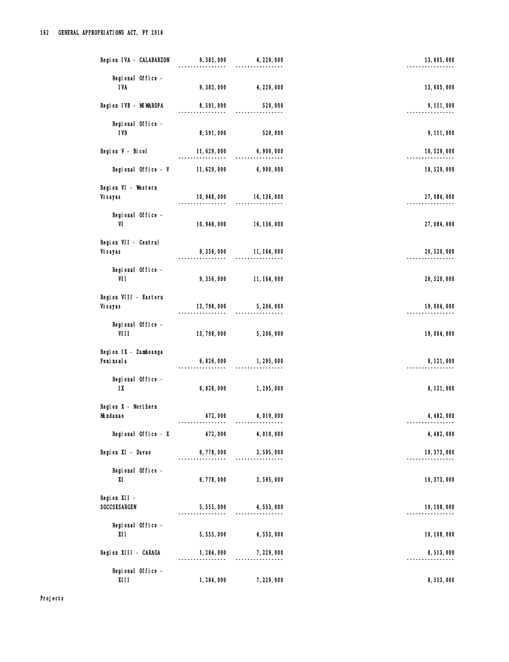| Region IVA - CALABARZON                      | 9,385,000    | 4, 220, 000                    | 13,605,000   |
|----------------------------------------------|--------------|--------------------------------|--------------|
| Regional Office -<br><b>IVA</b>              | 9,385,000    | 4, 220, 000                    | 13,605,000   |
| Region IVB - MIMAROPA                        | 8,591,000    | 520,000                        | 9, 111, 000  |
| Regional Office -<br><b>IVB</b>              | 8,591,000    | 520,000                        | 9, 111, 000  |
| Region V - Bicol                             | 11, 629, 000 | 6,900,000                      | 18, 529, 000 |
| Regional Office - V                          | 11, 629, 000 | 6,900,000                      | 18,529,000   |
| Region VI - Western<br>Vi sayas              | .            | $10,948,000$ $16,136,000$<br>. | 27,084,000   |
| Regional Office -<br>VI                      | 10, 948, 000 | 16, 136, 000                   | 27,084,000   |
| Region VII - Central<br>Vi sayas             | 9,356,000    | 11, 164, 000                   | 20, 520, 000 |
| Regional Office -<br>VII                     | 9,356,000    | 11, 164, 000                   | 20, 520, 000 |
| Region VIII - Eastern<br>Vi sayas            | 13, 798, 000 | 5, 206, 000                    | 19,004,000   |
| Regional Office -<br>VIII                    | 13, 798, 000 | 5, 206, 000                    | 19,004,000   |
| Region IX - Zamboanga<br>Peni nsul a         | 6,826,000    | 1,295,000                      | 8, 121, 000  |
| Regional Office -<br>$\mathsf{I} \mathsf{X}$ | 6,826,000    | 1,295,000                      | 8, 121, 000  |
| Region X - Northern<br>Mi ndanao             | 472,000      | 4,010,000                      | 4, 482, 000  |
| Regional Office - X                          | 472,000      | 4,010,000                      | 4, 482, 000  |
| Region XI - Davao                            | 6,778,000    | 3,595,000                      | 10, 373, 000 |
| Regional Office -<br>XI                      | 6,778,000    | 3,595,000                      | 10, 373, 000 |
| Region XII -<br>SOCCSKSARGEN                 | 5,555,000    | 4,553,000                      | 10, 108, 000 |
| Regional Office -<br>XI I                    | 5,555,000    | 4,553,000                      | 10, 108, 000 |
| Region XIII - CARAGA                         | 1, 284, 000  | 7,229,000                      | 8,513,000    |
| Regional Office -<br><b>XIII</b>             | 1, 284, 000  | 7,229,000                      | 8,513,000    |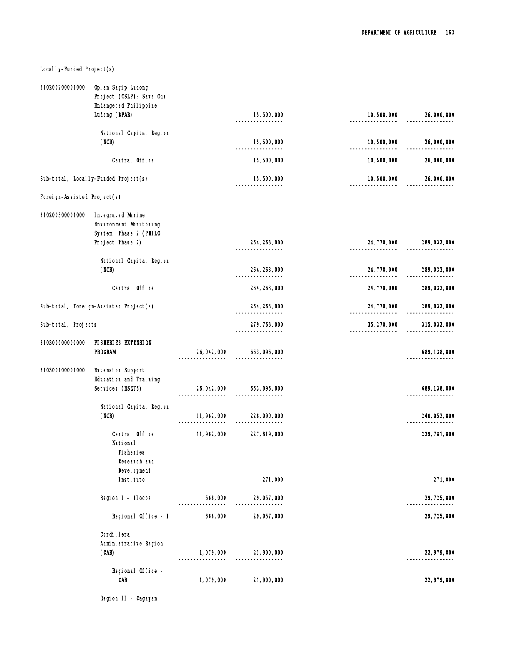# Local I y-Funded Project(s)

| 310200200001000             | Opl an Sagip Ludong<br>Project (OSLP): Save Our |              |                                |                                  |                         |
|-----------------------------|-------------------------------------------------|--------------|--------------------------------|----------------------------------|-------------------------|
|                             | Endangered Philippine<br>Ludong (BFAR)          |              | 15,500,000                     | 10,500,000                       | 26,000,000              |
|                             |                                                 |              |                                |                                  |                         |
|                             | National Capital Region                         |              |                                |                                  |                         |
|                             | (NCR)                                           |              | 15,500,000<br>-------------    | 10,500,000<br>---------          | 26,000,000              |
|                             | Central Office                                  |              | 15,500,000                     | 10,500,000                       | 26,000,000              |
|                             | Sub-total, Locally-Funded Project(s)            |              | 15,500,000<br>---------------- | 10,500,000<br>----------------   | 26,000,000<br>--------- |
| Foreign-Assisted Project(s) |                                                 |              |                                |                                  |                         |
| 310200300001000             | Integrated Marine<br>Environment Monitoring     |              |                                |                                  |                         |
|                             | System Phase 2 (PHILO<br>Project Phase 2)       |              | 264, 263, 000                  | 24, 770, 000                     | 289, 033, 000           |
|                             |                                                 |              |                                |                                  |                         |
|                             | National Capital Region<br>(NCR)                |              | 264, 263, 000<br>.             | 24, 770, 000<br>---------------- | 289, 033, 000           |
|                             | Central Office                                  |              | 264, 263, 000                  | 24, 770, 000                     | 289, 033, 000           |
|                             | Sub-total, Foreign-Assisted Project(s)          |              | 264, 263, 000<br>-----------   | 24, 770, 000<br>.                | 289, 033, 000           |
| Sub-total, Projects         |                                                 |              | 279, 763, 000                  | 35, 270, 000                     | 315, 033, 000           |
| 310300000000000             | FISHERIES EXTENSION                             |              |                                |                                  |                         |
|                             | <b>PROGRAM</b>                                  | 26, 042, 000 | 663, 096, 000                  |                                  | 689, 138, 000           |
| 310300100001000             | Extension Support,<br>Education and Training    |              |                                |                                  |                         |
|                             | Services (ESETS)                                | 26, 042, 000 | 663, 096, 000                  |                                  | 689, 138, 000           |
|                             | National Capital Region                         |              |                                |                                  |                         |
|                             | (NCR)                                           | 11, 962, 000 | 228,090,000                    |                                  | 240, 052, 000           |
|                             | Central Office<br>National                      | 11, 962, 000 | 227, 819, 000                  |                                  | 239, 781, 000           |
|                             | Fi sheri es<br>Research and                     |              |                                |                                  |                         |
|                             | Devel opment                                    |              |                                |                                  |                         |
|                             | Institute                                       |              | 271,000                        |                                  | 271,000                 |
|                             | Region I - Ilocos                               | 668,000      | 29, 057, 000                   |                                  | 29, 725, 000            |
|                             | Regional Office - I                             | 668,000      | 29, 057, 000                   |                                  | 29, 725, 000            |
|                             | Cordi I lera                                    |              |                                |                                  |                         |
|                             | Administrative Region<br>(CAR)                  | 1,079,000    | 21, 900, 000                   |                                  | 22, 979, 000            |
|                             |                                                 |              |                                |                                  |                         |
|                             | Regional Office -<br>CAR                        | 1,079,000    | 21, 900, 000                   |                                  | 22, 979, 000            |
|                             |                                                 |              |                                |                                  |                         |

Region II - Cagayan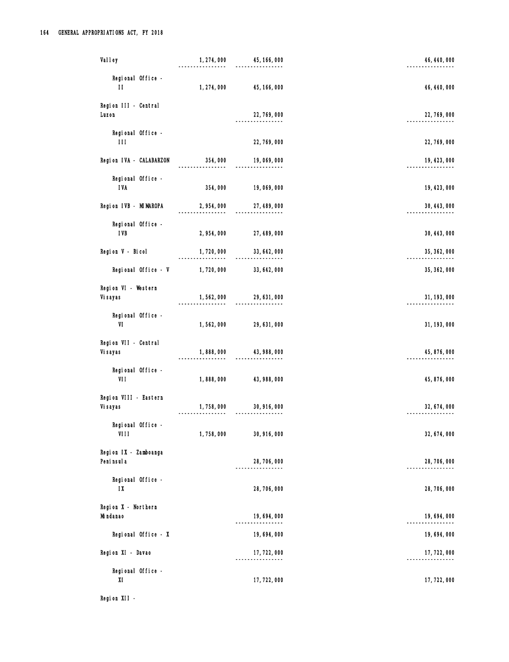| Val I ey                                     | 1, 274, 000            | 45, 166, 000                  | 46, 440, 000 |
|----------------------------------------------|------------------------|-------------------------------|--------------|
| Regional Office -<br>$\mathbf{H}$            | 1, 274, 000            | 45, 166, 000                  | 46, 440, 000 |
| Region III - Central<br>Luzon                |                        | 22, 769, 000                  | 22, 769, 000 |
| Regional Office -<br>$\mathbf{H}$            |                        | 22, 769, 000                  | 22, 769, 000 |
| Region IVA - CALABARZON                      | 354,000                | 19,069,000                    | 19, 423, 000 |
| Regional Office -<br><b>IVA</b>              | 354,000                | 19,069,000                    | 19, 423, 000 |
| Region IVB - MIMAROPA                        | 2, 954, 000            | 27, 489, 000<br>.             | 30, 443, 000 |
| Regional Office -<br><b>IVB</b>              | 2, 954, 000            | 27, 489, 000                  | 30, 443, 000 |
| Region V - Bicol                             | 1,720,000              | 33, 642, 000                  | 35, 362, 000 |
| Regional Office - V                          | 1,720,000              | 33, 642, 000                  | 35, 362, 000 |
| Region VI - Western<br>Vi sayas              | 1,562,000<br>--------- | 29, 631, 000<br>----------    | 31, 193, 000 |
| Regional Office -<br>VI                      | 1,562,000              | 29, 631, 000                  | 31, 193, 000 |
| Region VII - Central<br>Vi sayas             | 1,888,000              | 43, 988, 000                  | 45, 876, 000 |
| Regional Office<br>VII                       | 1,888,000              | 43, 988, 000                  | 45, 876, 000 |
| Region VIII - Eastern<br>Vi sayas            | 1,758,000              | 30, 916, 000                  | 32, 674, 000 |
| Regional Office -<br>VIII                    | 1,758,000              | 30, 916, 000                  | 32, 674, 000 |
| Region IX - Zamboanga<br>Peni nsul a         |                        | 28, 706, 000<br>--------      | 28, 706, 000 |
| Regional Office -<br>$\mathsf{I} \mathsf{X}$ |                        | 28, 706, 000                  | 28, 706, 000 |
| Region X - Northern<br>Mi ndanao             |                        | 19, 694, 000<br>-------       | 19, 694, 000 |
| Regional Office - X                          |                        | 19,694,000                    | 19,694,000   |
| Region XI - Davao                            |                        | 17, 722, 000<br>------------- | 17, 722, 000 |
| Regional Office -<br>XI                      |                        | 17, 722, 000                  | 17, 722, 000 |

Region XII -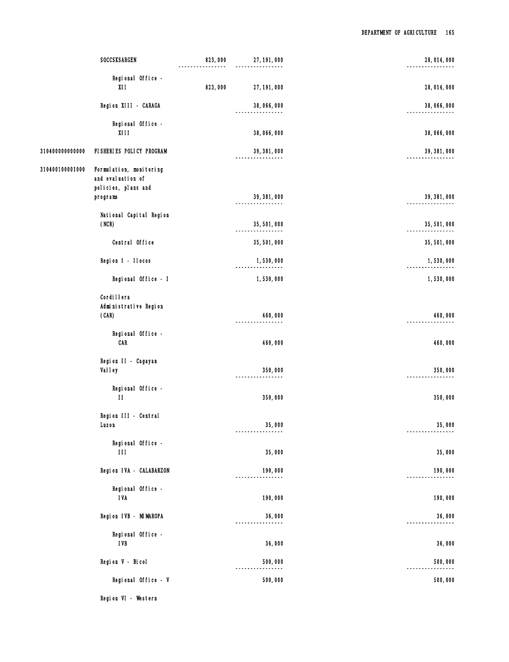|                 | SOCCSKSARGEN                                                        | 823,000 | 27, 191, 000             | 28, 014, 000 |
|-----------------|---------------------------------------------------------------------|---------|--------------------------|--------------|
|                 | Regional Office -<br>X11                                            | 823,000 | 27, 191, 000             | 28, 014, 000 |
|                 | Region XIII - CARAGA                                                |         | 38,066,000               | 38,066,000   |
|                 | Regional Office -<br>XIII                                           |         | 38,066,000               | 38,066,000   |
| 310400000000000 | FISHERIES POLICY PROGRAM                                            |         | 39, 381, 000             | 39, 381, 000 |
| 310400100001000 | Formulation, monitoring<br>and evaluation of<br>policies, plans and |         |                          |              |
|                 | programs                                                            |         | 39, 381, 000             | 39, 381, 000 |
|                 | National Capital Region<br>(NCR)                                    |         | 35, 501, 000<br>-------- | 35, 501, 000 |
|                 | Central Office                                                      |         | 35,501,000               | 35, 501, 000 |
|                 | Region I - Ilocos                                                   |         | 1,530,000                | 1,530,000    |
|                 | Regional Office - I                                                 |         | 1,530,000                | 1,530,000    |
|                 | Cordi I lera<br>Administrative Region<br>(CAR)                      |         | 460,000                  | 460,000      |
|                 | Regional Office -<br>CAR                                            |         | 460,000                  | 460,000      |
|                 | Region II - Cagayan<br>Valley                                       |         | 350,000<br>------------- | 350,000      |
|                 | Regional Office -<br>$\mathbf{H}$                                   |         | 350,000                  | 350,000      |
|                 | Region III - Central<br>Luzon                                       |         | 35,000                   | 35,000       |
|                 | Regional Office -<br>$\mathbf{H}$                                   |         | 35,000                   | 35,000       |
|                 | Region IVA - CALABARZON                                             |         | 190,000                  | 190,000      |
|                 | Regional Office -<br><b>IVA</b>                                     |         | 190,000                  | 190,000      |
|                 | Region IVB - MIMAROPA                                               |         | 36,000                   | 36,000       |
|                 | Regional Office -<br><b>IVB</b>                                     |         | 36,000                   | 36,000       |
|                 | Region V - Bicol                                                    |         | 500,000                  | 500,000      |
|                 | Regional Office - V                                                 |         | 500,000                  | 500,000      |
|                 |                                                                     |         |                          |              |

Region VI - Western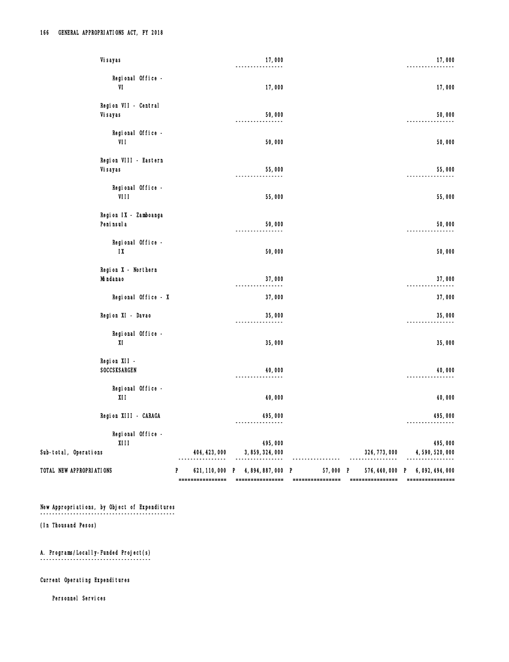| Vi sayas                                                  |   |                  | 17,000                             |                  |                  | 17,000                           |
|-----------------------------------------------------------|---|------------------|------------------------------------|------------------|------------------|----------------------------------|
| Regional Office -<br>VI                                   |   |                  | 17,000                             |                  |                  | 17,000                           |
| Region VII - Central<br>Vi sayas                          |   |                  | 50,000                             |                  |                  | 50,000                           |
| Regional Office -<br>VII                                  |   |                  | 50,000                             |                  |                  | 50,000                           |
| Region VIII - Eastern<br>Vi sayas                         |   |                  | 55,000                             |                  |                  | 55,000                           |
| Regional Office -<br>VIII                                 |   |                  | 55,000                             |                  |                  | 55,000                           |
| Region IX - Zamboanga<br>Peni nsul a                      |   |                  | 50,000                             |                  |                  | 50,000                           |
| Regional Office -<br>$\mathsf{I} \mathsf{X}$              |   |                  | 50,000                             |                  |                  | 50,000                           |
| Region X - Northern<br>Mi ndanao                          |   |                  | 37,000<br>.                        |                  |                  | 37,000                           |
| Regional Office - X                                       |   |                  | 37,000                             |                  |                  | 37,000                           |
| Region XI - Davao                                         |   |                  | 35,000<br>$- - - - - -$            |                  |                  | 35,000                           |
| Regional Office -<br>XI                                   |   |                  | 35,000                             |                  |                  | 35,000                           |
| Region XII -<br>SOCCSKSARGEN                              |   |                  | 40,000                             |                  |                  | 40,000                           |
| Regional Office -<br>XI I                                 |   |                  | 40,000                             |                  |                  | 40,000                           |
| Region XIII - CARAGA                                      |   |                  | 495,000<br>---------------         |                  |                  | 495,000                          |
| Regional Office -<br><b>XIII</b><br>Sub-total, Operations |   | 404, 423, 000    | 495,000<br>3, 859, 324, 000        |                  | 326, 773, 000    | 495,000<br>4,590,520,000         |
| TOTAL NEW APPROPRIATIONS                                  | P |                  | 621, 110, 000 P 4, 894, 887, 000 P | 57,000 P         |                  | 576, 440, 000 P 6, 092, 494, 000 |
|                                                           |   | ================ | ================                   | ================ | ================ | ================                 |

New Appropriations, by Object of Expenditures

¯¯¯¯¯¯¯¯¯¯¯¯¯¯¯¯¯¯¯¯¯¯¯¯¯¯¯¯¯¯¯¯¯¯¯¯¯¯¯¯¯¯¯¯¯

(In Thousand Pesos)

 A. Programs/Locally-Funded Project(s) ¯¯¯¯¯¯¯¯¯¯¯¯¯¯¯¯¯¯¯¯¯¯¯¯¯¯¯¯¯¯¯¯¯¯¯¯¯

Current Operating Expenditures

Personnel Services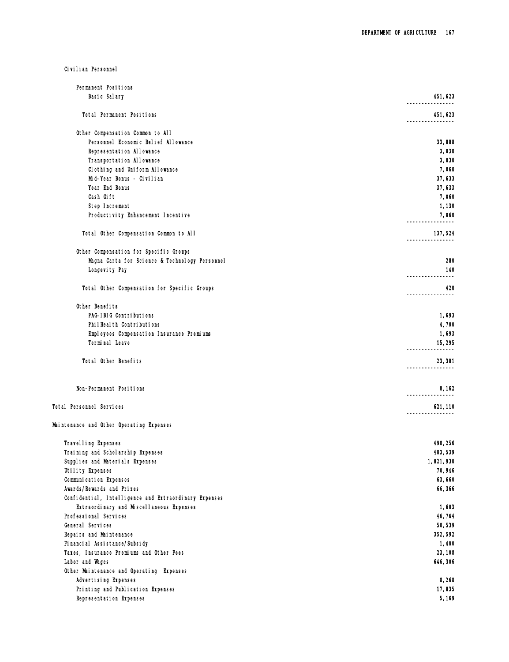Civilian Personnel

| Permanent Positions                                               |                         |
|-------------------------------------------------------------------|-------------------------|
| Basic Salary                                                      | 451, 623                |
| Total Permanent Positions                                         | 451,623<br>-----------  |
| Other Compensation Common to All                                  |                         |
| Personnel Economic Relief Allowance                               | 33,888                  |
| Representation Allowance                                          | 3,030                   |
| Transportation Allowance                                          | 3,030                   |
| Clothing and Uniform Allowance                                    | 7,060                   |
| Mid-Year Bonus - Civilian                                         | 37,633                  |
| Year End Bonus                                                    | 37,633                  |
| Cash Gift                                                         | 7,060                   |
| Step Increment                                                    |                         |
|                                                                   | 1,130                   |
| Productivity Enhancement Incentive                                | 7,060                   |
| Total Other Compensation Common to All                            | 137,524                 |
| Other Compensation for Specific Groups                            |                         |
| Magna Carta for Science & Technology Personnel                    | 280                     |
| Longevity Pay                                                     | 140                     |
|                                                                   |                         |
| Total Other Compensation for Specific Groups                      | 420<br>-----------      |
| Other Benefits                                                    |                         |
| PAG-IBIG Contributions                                            | 1,693                   |
| PhilHealth Contributions                                          | 4,700                   |
| Employees Compensation Insurance Premiums                         | 1,693                   |
| Terminal Leave                                                    | 15,295                  |
| Total Other Benefits                                              | 23, 381                 |
|                                                                   | ----------              |
| Non-Permanent Positions                                           | 8, 162<br>------------- |
| Total Personnel Services                                          | 621, 110                |
| Maintenance and Other Operating Expenses                          |                         |
| Travel I ing Expenses                                             | 490, 256                |
| Training and Scholarship Expenses                                 | 483, 539                |
| Supplies and Materials Expenses                                   | 1,821,930               |
| Utility Expenses                                                  | 70,946                  |
| Communication Expenses                                            | 63,660                  |
| Awards/Rewards and Prizes                                         | 66,366                  |
|                                                                   |                         |
| Confidential, Intelligence and Extraordinary Expenses             |                         |
| Extraordinary and Miscellaneous Expenses<br>Professional Services | 1,603                   |
|                                                                   | 46,764                  |
| General Services                                                  | 50,539                  |
| Repairs and Maintenance                                           | 352, 592                |
| Financial Assistance/Subsidy                                      | 1,400                   |
| Taxes, Insurance Premiums and Other Fees                          | 23, 108                 |
| Labor and Wages                                                   | 646, 306                |
| Other Maintenance and Operating Expenses                          |                         |
| Advertising Expenses                                              | 8,268                   |
| Printing and Publication Expenses                                 | 17,835                  |
| Representation Expenses                                           | 5,169                   |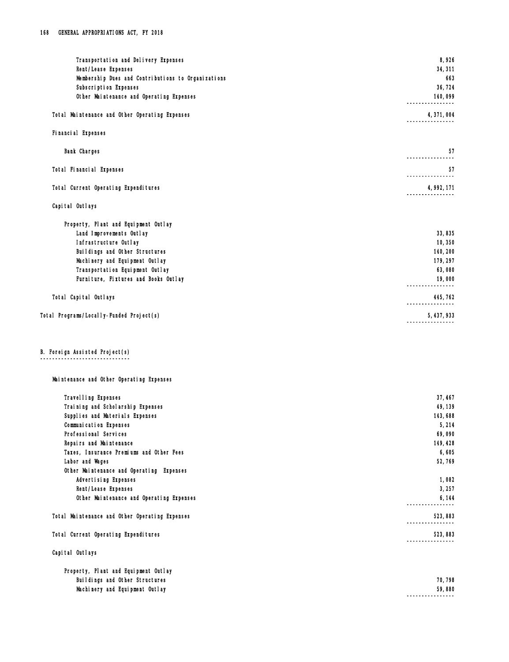| Transportation and Delivery Expenses                              | 8,926                         |
|-------------------------------------------------------------------|-------------------------------|
| Rent/Lease Expenses                                               | 34, 311                       |
| Membership Dues and Contributions to Organizations                | 663                           |
| Subscription Expenses                                             | 36,724                        |
| Other Maintenance and Operating Expenses                          | 140,099<br>----------         |
| Total Maintenance and Other Operating Expenses                    | 4,371,004                     |
| Fi nanci al Expenses                                              |                               |
| <b>Bank Charges</b>                                               | 57<br>------------            |
| Total Financial Expenses                                          | 57<br>----------------        |
| Total Current Operating Expenditures                              | 4, 992, 171<br>-------------- |
| Capital Outlays                                                   |                               |
| Property, Plant and Equipment Outlay                              |                               |
| Land Improvements Outlay                                          | 33,835                        |
| Infrastructure Outlay                                             | 10,350                        |
| Buildings and Other Structures                                    | 140, 200                      |
| Machinery and Equipment Outlay<br>Transportation Equipment Outlay | 179, 297<br>63,080            |
| Furniture, Fixtures and Books Outlay                              | 19,000                        |
|                                                                   | -------------                 |
| Total Capital Outlays                                             | 445, 762<br>----------------  |
| Total Programs/Locally-Funded Project(s)                          | 5, 437, 933                   |
|                                                                   |                               |
| B. Foreign Assisted Project(s)                                    |                               |
| Maintenance and Other Operating Expenses                          |                               |
|                                                                   |                               |
| Travel I ing Expenses<br>Training and Scholarship Expenses        | 37, 467<br>49, 139            |
| Supplies and Materials Expenses                                   | 143,688                       |
| Communication Expenses                                            | 5,214                         |
| Professional Services                                             | 69,090                        |
| Repairs and Maintenance                                           | 149, 428                      |
| Taxes, Insurance Premiums and Other Fees                          | 6,605                         |
| Labor and Wages                                                   | 52,769                        |
| Other Maintenance and Operating Expenses                          |                               |
| Advertising Expenses                                              | 1,082                         |
| Rent/Lease Expenses                                               | 3,257                         |
| Other Maintenance and Operating Expenses                          | 6,144<br>----------------     |
| Total Maintenance and Other Operating Expenses                    | 523,883                       |
| Total Current Operating Expenditures                              | 523,883                       |
| Capital Outlays                                                   |                               |
| Property, Plant and Equipment Outlay                              |                               |

| Property, Praint and Equipment outray |         |
|---------------------------------------|---------|
| Buildings and Other Structures        | 70, 798 |
| Machinery and Equipment Outlay        | 59,880  |
|                                       |         |